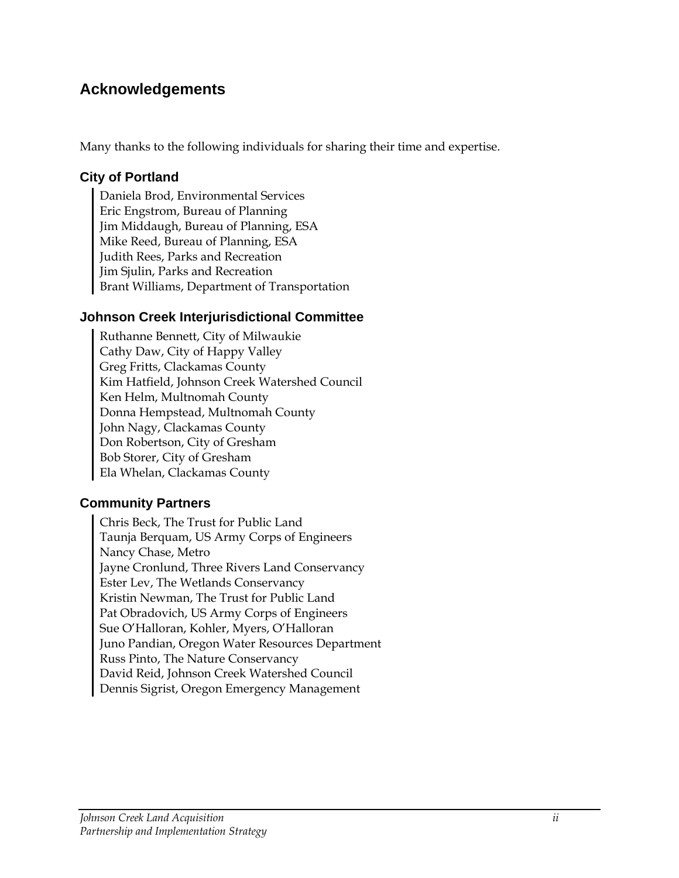### **Acknowledgements**

Many thanks to the following individuals for sharing their time and expertise.

#### **City of Portland**

Daniela Brod, Environmental Services Eric Engstrom, Bureau of Planning Jim Middaugh, Bureau of Planning, ESA Mike Reed, Bureau of Planning, ESA Judith Rees, Parks and Recreation Jim Sjulin, Parks and Recreation Brant Williams, Department of Transportation

#### **Johnson Creek Interjurisdictional Committee**

Ruthanne Bennett, City of Milwaukie Cathy Daw, City of Happy Valley Greg Fritts, Clackamas County Kim Hatfield, Johnson Creek Watershed Council Ken Helm, Multnomah County Donna Hempstead, Multnomah County John Nagy, Clackamas County Don Robertson, City of Gresham Bob Storer, City of Gresham Ela Whelan, Clackamas County

#### **Community Partners**

Chris Beck, The Trust for Public Land Taunja Berquam, US Army Corps of Engineers Nancy Chase, Metro Jayne Cronlund, Three Rivers Land Conservancy Ester Lev, The Wetlands Conservancy Kristin Newman, The Trust for Public Land Pat Obradovich, US Army Corps of Engineers Sue O'Halloran, Kohler, Myers, O'Halloran Juno Pandian, Oregon Water Resources Department Russ Pinto, The Nature Conservancy David Reid, Johnson Creek Watershed Council Dennis Sigrist, Oregon Emergency Management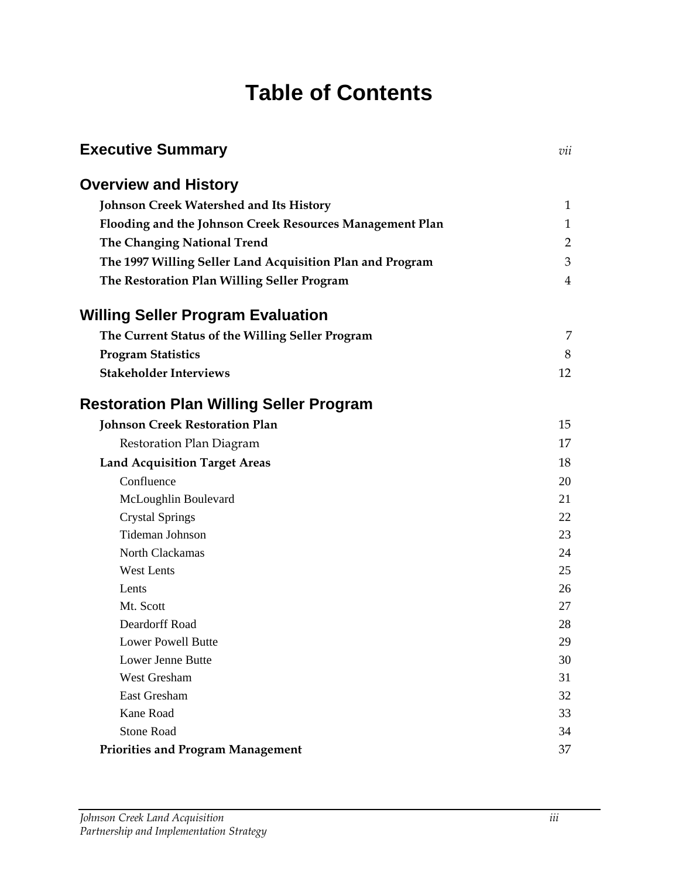# **Table of Contents**

| <b>Executive Summary</b>                                  | vii            |
|-----------------------------------------------------------|----------------|
| <b>Overview and History</b>                               |                |
| <b>Johnson Creek Watershed and Its History</b>            | 1              |
| Flooding and the Johnson Creek Resources Management Plan  | 1              |
| The Changing National Trend                               | $\overline{2}$ |
| The 1997 Willing Seller Land Acquisition Plan and Program | 3              |
| The Restoration Plan Willing Seller Program               | 4              |
| <b>Willing Seller Program Evaluation</b>                  |                |
| The Current Status of the Willing Seller Program          | 7              |
| <b>Program Statistics</b>                                 | 8              |
| <b>Stakeholder Interviews</b>                             | 12             |
| <b>Restoration Plan Willing Seller Program</b>            |                |
| <b>Johnson Creek Restoration Plan</b>                     | 15             |
| Restoration Plan Diagram                                  | 17             |
| <b>Land Acquisition Target Areas</b>                      | 18             |
| Confluence                                                | 20             |
| McLoughlin Boulevard                                      | 21             |
| <b>Crystal Springs</b>                                    | 22             |
| <b>Tideman Johnson</b>                                    | 23             |
| North Clackamas                                           | 24             |
| <b>West Lents</b>                                         | 25             |
| Lents                                                     | 26             |
| Mt. Scott                                                 | 27             |
| Deardorff Road                                            | 28             |
| <b>Lower Powell Butte</b>                                 | 29             |
| Lower Jenne Butte                                         | 30             |
| West Gresham                                              | 31             |
| East Gresham                                              | 32             |
| Kane Road                                                 | 33             |
| <b>Stone Road</b>                                         | 34             |
| <b>Priorities and Program Management</b>                  | 37             |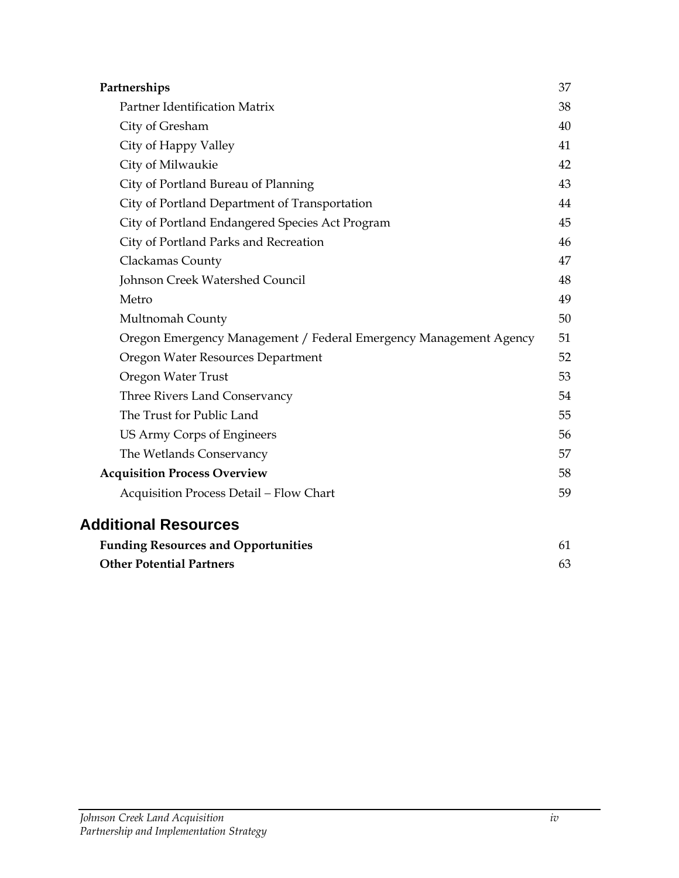| Partnerships                                                      | 37 |
|-------------------------------------------------------------------|----|
| Partner Identification Matrix                                     | 38 |
| City of Gresham                                                   | 40 |
| City of Happy Valley                                              | 41 |
| City of Milwaukie                                                 | 42 |
| City of Portland Bureau of Planning                               | 43 |
| City of Portland Department of Transportation                     | 44 |
| City of Portland Endangered Species Act Program                   | 45 |
| City of Portland Parks and Recreation                             | 46 |
| Clackamas County                                                  | 47 |
| Johnson Creek Watershed Council                                   | 48 |
| Metro                                                             | 49 |
| Multnomah County                                                  | 50 |
| Oregon Emergency Management / Federal Emergency Management Agency | 51 |
| Oregon Water Resources Department                                 | 52 |
| Oregon Water Trust                                                | 53 |
| Three Rivers Land Conservancy                                     | 54 |
| The Trust for Public Land                                         | 55 |
| US Army Corps of Engineers                                        | 56 |
| The Wetlands Conservancy                                          | 57 |
| <b>Acquisition Process Overview</b>                               | 58 |
| Acquisition Process Detail - Flow Chart                           | 59 |
| <b>Additional Resources</b>                                       |    |
| <b>Funding Resources and Opportunities</b>                        | 61 |
| <b>Other Potential Partners</b>                                   | 63 |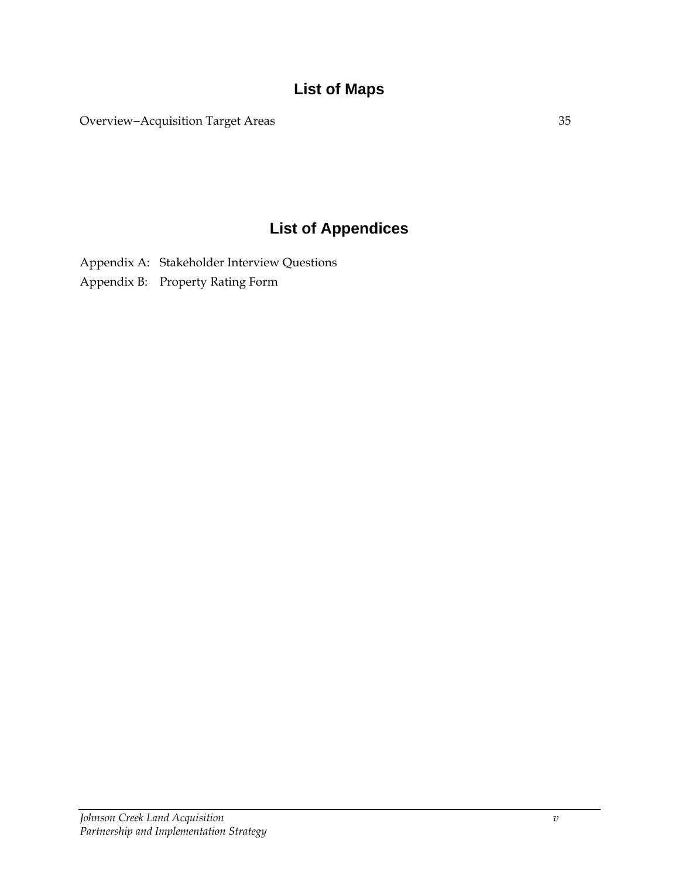# **List of Maps**

Overview−Acquisition Target Areas 35

# **List of Appendices**

Appendix A: Stakeholder Interview Questions

Appendix B: Property Rating Form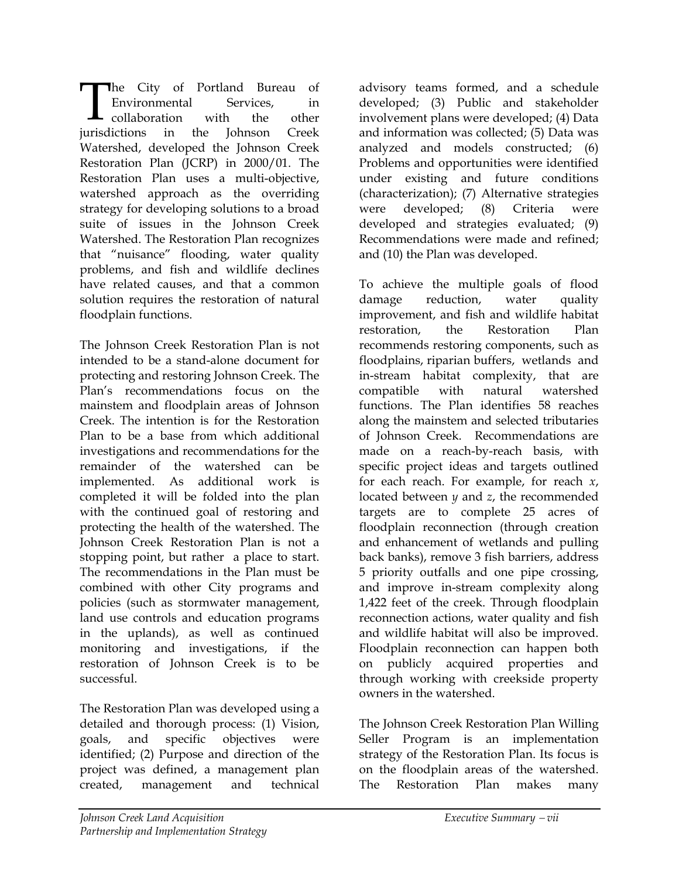he City of Portland Bureau of Environmental Services, in collaboration with the other The City of Portland Bureau of<br>Environmental Services, in<br>collaboration with the other<br>jurisdictions in the Johnson Creek Watershed, developed the Johnson Creek Restoration Plan (JCRP) in 2000/01. The Restoration Plan uses a multi-objective, watershed approach as the overriding strategy for developing solutions to a broad suite of issues in the Johnson Creek Watershed. The Restoration Plan recognizes that "nuisance" flooding, water quality problems, and fish and wildlife declines have related causes, and that a common solution requires the restoration of natural floodplain functions.

The Johnson Creek Restoration Plan is not intended to be a stand-alone document for protecting and restoring Johnson Creek. The Plan's recommendations focus on the mainstem and floodplain areas of Johnson Creek. The intention is for the Restoration Plan to be a base from which additional investigations and recommendations for the remainder of the watershed can be implemented. As additional work is completed it will be folded into the plan with the continued goal of restoring and protecting the health of the watershed. The Johnson Creek Restoration Plan is not a stopping point, but rather a place to start. The recommendations in the Plan must be combined with other City programs and policies (such as stormwater management, land use controls and education programs in the uplands), as well as continued monitoring and investigations, if the restoration of Johnson Creek is to be successful.

The Restoration Plan was developed using a detailed and thorough process: (1) Vision, goals, and specific objectives were identified; (2) Purpose and direction of the project was defined, a management plan created, management and technical

advisory teams formed, and a schedule developed; (3) Public and stakeholder involvement plans were developed; (4) Data and information was collected; (5) Data was analyzed and models constructed; (6) Problems and opportunities were identified under existing and future conditions (characterization); (7) Alternative strategies were developed; (8) Criteria were developed and strategies evaluated; (9) Recommendations were made and refined; and (10) the Plan was developed.

To achieve the multiple goals of flood damage reduction, water quality improvement, and fish and wildlife habitat restoration, the Restoration Plan recommends restoring components, such as floodplains, riparian buffers, wetlands and in-stream habitat complexity, that are compatible with natural watershed functions. The Plan identifies 58 reaches along the mainstem and selected tributaries of Johnson Creek. Recommendations are made on a reach-by-reach basis, with specific project ideas and targets outlined for each reach. For example, for reach *x*, located between *y* and *z*, the recommended targets are to complete 25 acres of floodplain reconnection (through creation and enhancement of wetlands and pulling back banks), remove 3 fish barriers, address 5 priority outfalls and one pipe crossing, and improve in-stream complexity along 1,422 feet of the creek. Through floodplain reconnection actions, water quality and fish and wildlife habitat will also be improved. Floodplain reconnection can happen both on publicly acquired properties and through working with creekside property owners in the watershed.

The Johnson Creek Restoration Plan Willing Seller Program is an implementation strategy of the Restoration Plan. Its focus is on the floodplain areas of the watershed. The Restoration Plan makes many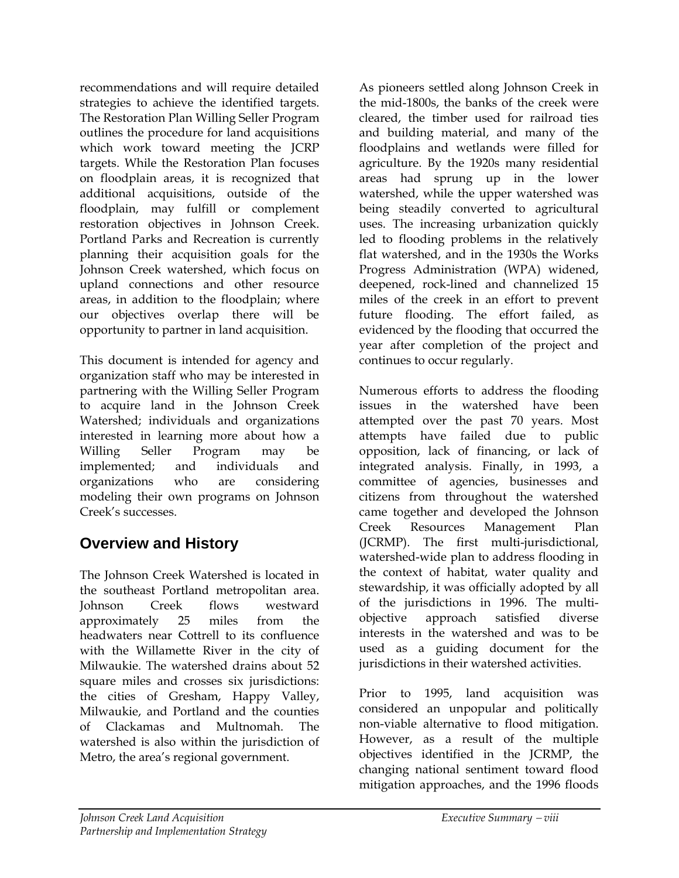recommendations and will require detailed strategies to achieve the identified targets. The Restoration Plan Willing Seller Program outlines the procedure for land acquisitions which work toward meeting the JCRP targets. While the Restoration Plan focuses on floodplain areas, it is recognized that additional acquisitions, outside of the floodplain, may fulfill or complement restoration objectives in Johnson Creek. Portland Parks and Recreation is currently planning their acquisition goals for the Johnson Creek watershed, which focus on upland connections and other resource areas, in addition to the floodplain; where our objectives overlap there will be opportunity to partner in land acquisition.

This document is intended for agency and organization staff who may be interested in partnering with the Willing Seller Program to acquire land in the Johnson Creek Watershed; individuals and organizations interested in learning more about how a Willing Seller Program may be implemented; and individuals and organizations who are considering modeling their own programs on Johnson Creek's successes.

# **Overview and History**

The Johnson Creek Watershed is located in the southeast Portland metropolitan area. Johnson Creek flows westward approximately 25 miles from the headwaters near Cottrell to its confluence with the Willamette River in the city of Milwaukie. The watershed drains about 52 square miles and crosses six jurisdictions: the cities of Gresham, Happy Valley, Milwaukie, and Portland and the counties of Clackamas and Multnomah. The watershed is also within the jurisdiction of Metro, the area's regional government.

As pioneers settled along Johnson Creek in the mid-1800s, the banks of the creek were cleared, the timber used for railroad ties and building material, and many of the floodplains and wetlands were filled for agriculture. By the 1920s many residential areas had sprung up in the lower watershed, while the upper watershed was being steadily converted to agricultural uses. The increasing urbanization quickly led to flooding problems in the relatively flat watershed, and in the 1930s the Works Progress Administration (WPA) widened, deepened, rock-lined and channelized 15 miles of the creek in an effort to prevent future flooding. The effort failed, as evidenced by the flooding that occurred the year after completion of the project and continues to occur regularly.

Numerous efforts to address the flooding issues in the watershed have been attempted over the past 70 years. Most attempts have failed due to public opposition, lack of financing, or lack of integrated analysis. Finally, in 1993, a committee of agencies, businesses and citizens from throughout the watershed came together and developed the Johnson Creek Resources Management Plan (JCRMP). The first multi-jurisdictional, watershed-wide plan to address flooding in the context of habitat, water quality and stewardship, it was officially adopted by all of the jurisdictions in 1996. The multiobjective approach satisfied diverse interests in the watershed and was to be used as a guiding document for the jurisdictions in their watershed activities.

Prior to 1995, land acquisition was considered an unpopular and politically non-viable alternative to flood mitigation. However, as a result of the multiple objectives identified in the JCRMP, the changing national sentiment toward flood mitigation approaches, and the 1996 floods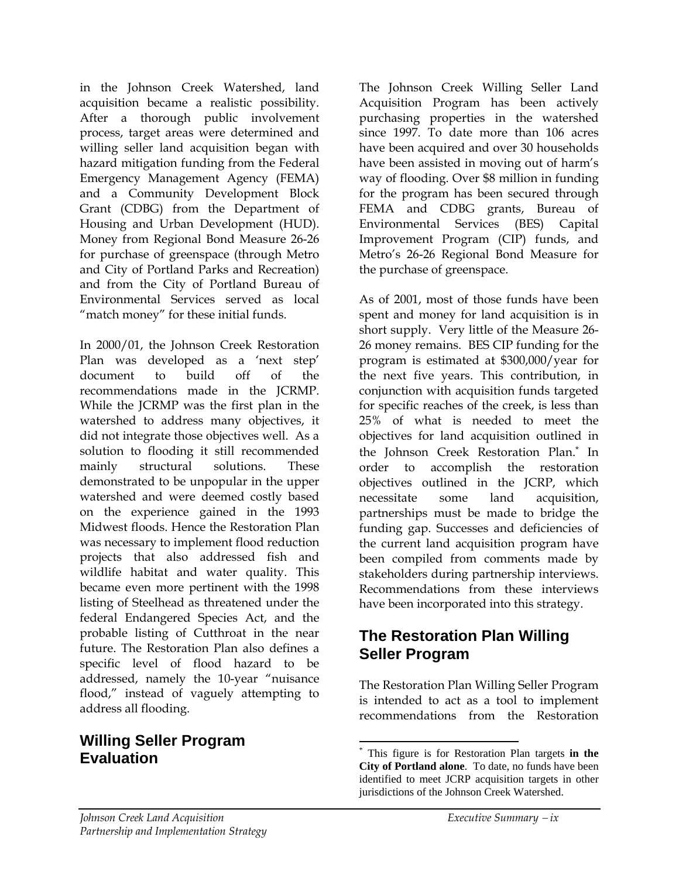in the Johnson Creek Watershed, land acquisition became a realistic possibility. After a thorough public involvement process, target areas were determined and willing seller land acquisition began with hazard mitigation funding from the Federal Emergency Management Agency (FEMA) and a Community Development Block Grant (CDBG) from the Department of Housing and Urban Development (HUD). Money from Regional Bond Measure 26-26 for purchase of greenspace (through Metro and City of Portland Parks and Recreation) and from the City of Portland Bureau of Environmental Services served as local "match money" for these initial funds.

In 2000/01, the Johnson Creek Restoration Plan was developed as a 'next step' document to build off of the recommendations made in the JCRMP. While the JCRMP was the first plan in the watershed to address many objectives, it did not integrate those objectives well. As a solution to flooding it still recommended mainly structural solutions. These demonstrated to be unpopular in the upper watershed and were deemed costly based on the experience gained in the 1993 Midwest floods. Hence the Restoration Plan was necessary to implement flood reduction projects that also addressed fish and wildlife habitat and water quality. This became even more pertinent with the 1998 listing of Steelhead as threatened under the federal Endangered Species Act, and the probable listing of Cutthroat in the near future. The Restoration Plan also defines a specific level of flood hazard to be addressed, namely the 10-year "nuisance flood," instead of vaguely attempting to address all flooding.

### **Willing Seller Program Evaluation**

The Johnson Creek Willing Seller Land Acquisition Program has been actively purchasing properties in the watershed since 1997. To date more than 106 acres have been acquired and over 30 households have been assisted in moving out of harm's way of flooding. Over \$8 million in funding for the program has been secured through FEMA and CDBG grants, Bureau of Environmental Services (BES) Capital Improvement Program (CIP) funds, and Metro's 26-26 Regional Bond Measure for the purchase of greenspace.

As of 2001, most of those funds have been spent and money for land acquisition is in short supply. Very little of the Measure 26- 26 money remains. BES CIP funding for the program is estimated at \$300,000/year for the next five years. This contribution, in conjunction with acquisition funds targeted for specific reaches of the creek, is less than 25% of what is needed to meet the objectives for land acquisition outlined in the Johnson Creek Restoration Plan.[\\*](#page-7-0) In order to accomplish the restoration objectives outlined in the JCRP, which necessitate some land acquisition, partnerships must be made to bridge the funding gap. Successes and deficiencies of the current land acquisition program have been compiled from comments made by stakeholders during partnership interviews. Recommendations from these interviews have been incorporated into this strategy.

### **The Restoration Plan Willing Seller Program**

The Restoration Plan Willing Seller Program is intended to act as a tool to implement recommendations from the Restoration

<span id="page-7-0"></span> <sup>\*</sup> This figure is for Restoration Plan targets **in the City of Portland alone**. To date, no funds have been identified to meet JCRP acquisition targets in other jurisdictions of the Johnson Creek Watershed.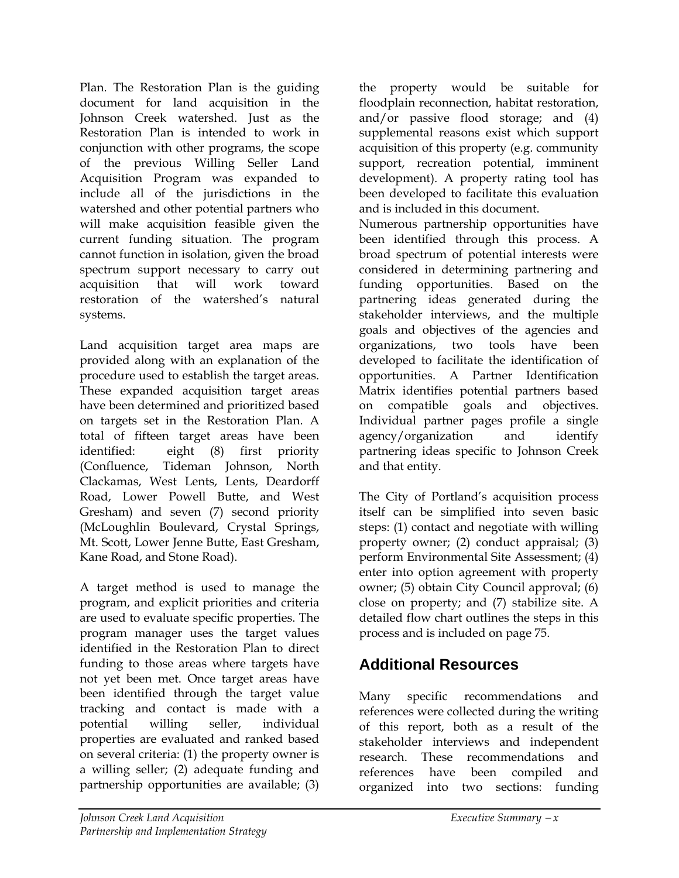Plan. The Restoration Plan is the guiding document for land acquisition in the Johnson Creek watershed. Just as the Restoration Plan is intended to work in conjunction with other programs, the scope of the previous Willing Seller Land Acquisition Program was expanded to include all of the jurisdictions in the watershed and other potential partners who will make acquisition feasible given the current funding situation. The program cannot function in isolation, given the broad spectrum support necessary to carry out acquisition that will work toward restoration of the watershed's natural systems.

Land acquisition target area maps are provided along with an explanation of the procedure used to establish the target areas. These expanded acquisition target areas have been determined and prioritized based on targets set in the Restoration Plan. A total of fifteen target areas have been identified: eight (8) first priority (Confluence, Tideman Johnson, North Clackamas, West Lents, Lents, Deardorff Road, Lower Powell Butte, and West Gresham) and seven (7) second priority (McLoughlin Boulevard, Crystal Springs, Mt. Scott, Lower Jenne Butte, East Gresham, Kane Road, and Stone Road).

A target method is used to manage the program, and explicit priorities and criteria are used to evaluate specific properties. The program manager uses the target values identified in the Restoration Plan to direct funding to those areas where targets have not yet been met. Once target areas have been identified through the target value tracking and contact is made with a potential willing seller, individual properties are evaluated and ranked based on several criteria: (1) the property owner is a willing seller; (2) adequate funding and partnership opportunities are available; (3)

the property would be suitable for floodplain reconnection, habitat restoration, and/or passive flood storage; and (4) supplemental reasons exist which support acquisition of this property (e.g. community support, recreation potential, imminent development). A property rating tool has been developed to facilitate this evaluation and is included in this document.

Numerous partnership opportunities have been identified through this process. A broad spectrum of potential interests were considered in determining partnering and funding opportunities. Based on the partnering ideas generated during the stakeholder interviews, and the multiple goals and objectives of the agencies and organizations, two tools have been developed to facilitate the identification of opportunities. A Partner Identification Matrix identifies potential partners based on compatible goals and objectives. Individual partner pages profile a single agency/organization and identify partnering ideas specific to Johnson Creek and that entity.

The City of Portland's acquisition process itself can be simplified into seven basic steps: (1) contact and negotiate with willing property owner; (2) conduct appraisal; (3) perform Environmental Site Assessment; (4) enter into option agreement with property owner; (5) obtain City Council approval; (6) close on property; and (7) stabilize site. A detailed flow chart outlines the steps in this process and is included on page 75.

## **Additional Resources**

Many specific recommendations and references were collected during the writing of this report, both as a result of the stakeholder interviews and independent research. These recommendations and references have been compiled and organized into two sections: funding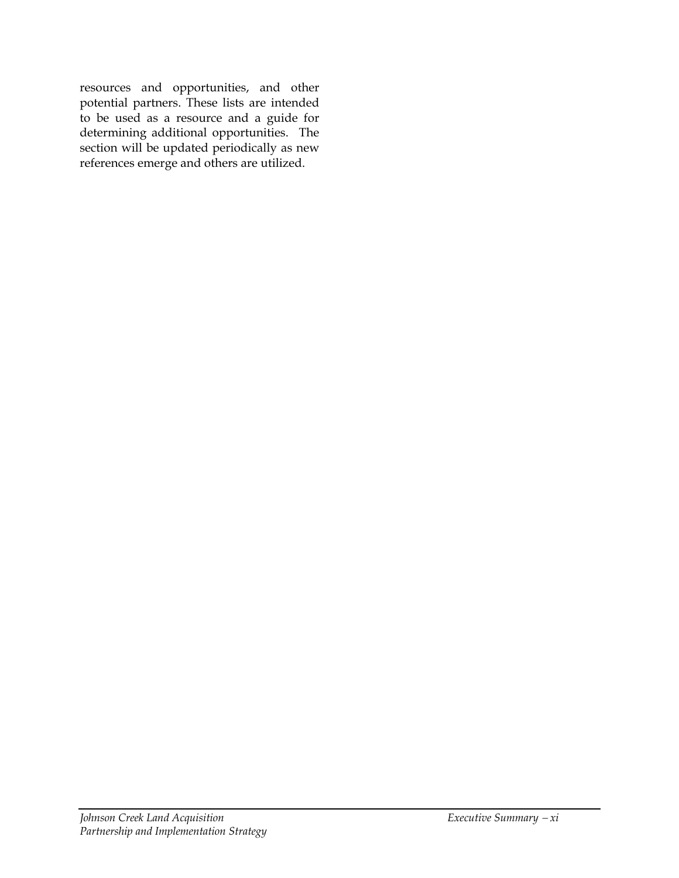resources and opportunities, and other potential partners. These lists are intended to be used as a resource and a guide for determining additional opportunities. The section will be updated periodically as new references emerge and others are utilized.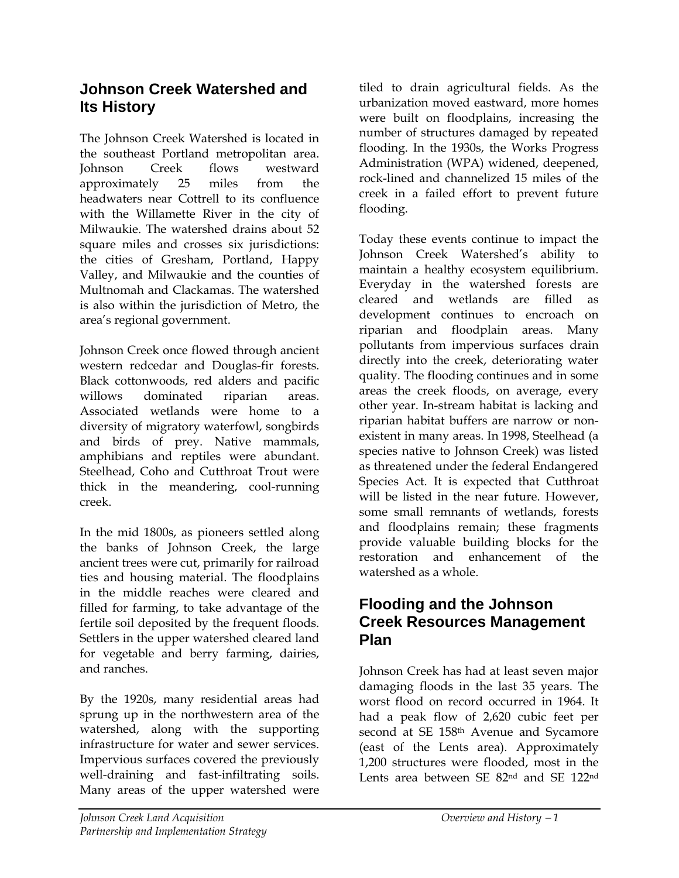### **Johnson Creek Watershed and Its History**

The Johnson Creek Watershed is located in the southeast Portland metropolitan area. Johnson Creek flows westward approximately 25 miles from the headwaters near Cottrell to its confluence with the Willamette River in the city of Milwaukie. The watershed drains about 52 square miles and crosses six jurisdictions: the cities of Gresham, Portland, Happy Valley, and Milwaukie and the counties of Multnomah and Clackamas. The watershed is also within the jurisdiction of Metro, the area's regional government.

Johnson Creek once flowed through ancient western redcedar and Douglas-fir forests. Black cottonwoods, red alders and pacific willows dominated riparian areas. Associated wetlands were home to a diversity of migratory waterfowl, songbirds and birds of prey. Native mammals, amphibians and reptiles were abundant. Steelhead, Coho and Cutthroat Trout were thick in the meandering, cool-running creek.

In the mid 1800s, as pioneers settled along the banks of Johnson Creek, the large ancient trees were cut, primarily for railroad ties and housing material. The floodplains in the middle reaches were cleared and filled for farming, to take advantage of the fertile soil deposited by the frequent floods. Settlers in the upper watershed cleared land for vegetable and berry farming, dairies, and ranches.

By the 1920s, many residential areas had sprung up in the northwestern area of the watershed, along with the supporting infrastructure for water and sewer services. Impervious surfaces covered the previously well-draining and fast-infiltrating soils. Many areas of the upper watershed were

tiled to drain agricultural fields. As the urbanization moved eastward, more homes were built on floodplains, increasing the number of structures damaged by repeated flooding. In the 1930s, the Works Progress Administration (WPA) widened, deepened, rock-lined and channelized 15 miles of the creek in a failed effort to prevent future flooding.

Today these events continue to impact the Johnson Creek Watershed's ability to maintain a healthy ecosystem equilibrium. Everyday in the watershed forests are cleared and wetlands are filled as development continues to encroach on riparian and floodplain areas. Many pollutants from impervious surfaces drain directly into the creek, deteriorating water quality. The flooding continues and in some areas the creek floods, on average, every other year. In-stream habitat is lacking and riparian habitat buffers are narrow or nonexistent in many areas. In 1998, Steelhead (a species native to Johnson Creek) was listed as threatened under the federal Endangered Species Act. It is expected that Cutthroat will be listed in the near future. However, some small remnants of wetlands, forests and floodplains remain; these fragments provide valuable building blocks for the restoration and enhancement of the watershed as a whole.

### **Flooding and the Johnson Creek Resources Management Plan**

Johnson Creek has had at least seven major damaging floods in the last 35 years. The worst flood on record occurred in 1964. It had a peak flow of 2,620 cubic feet per second at SE 158<sup>th</sup> Avenue and Sycamore (east of the Lents area). Approximately 1,200 structures were flooded, most in the Lents area between SE 82nd and SE 122nd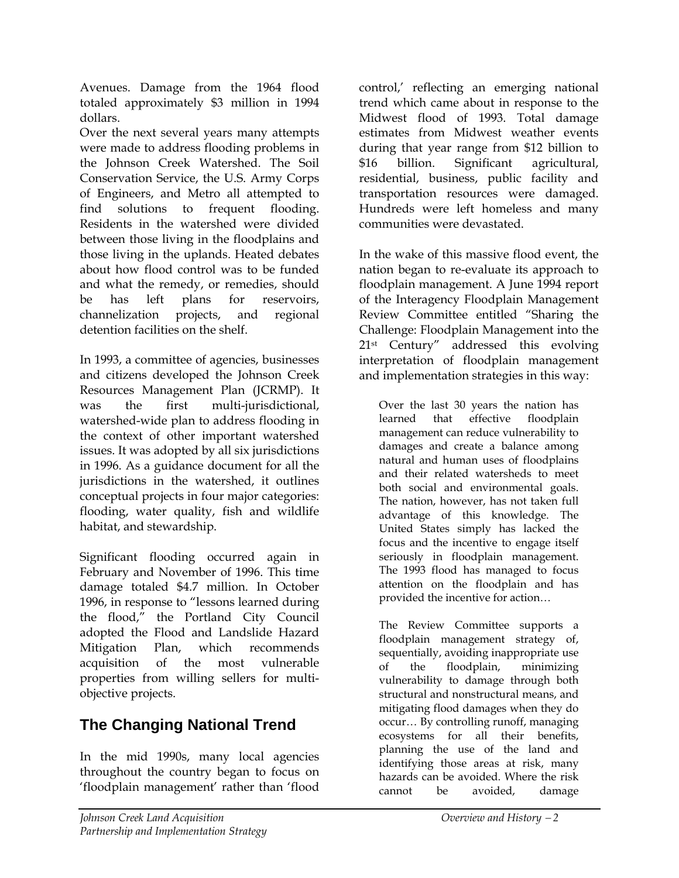Avenues. Damage from the 1964 flood totaled approximately \$3 million in 1994 dollars.

Over the next several years many attempts were made to address flooding problems in the Johnson Creek Watershed. The Soil Conservation Service, the U.S. Army Corps of Engineers, and Metro all attempted to find solutions to frequent flooding. Residents in the watershed were divided between those living in the floodplains and those living in the uplands. Heated debates about how flood control was to be funded and what the remedy, or remedies, should be has left plans for reservoirs, channelization projects, and regional detention facilities on the shelf.

In 1993, a committee of agencies, businesses and citizens developed the Johnson Creek Resources Management Plan (JCRMP). It was the first multi-jurisdictional, watershed-wide plan to address flooding in the context of other important watershed issues. It was adopted by all six jurisdictions in 1996. As a guidance document for all the jurisdictions in the watershed, it outlines conceptual projects in four major categories: flooding, water quality, fish and wildlife habitat, and stewardship.

Significant flooding occurred again in February and November of 1996. This time damage totaled \$4.7 million. In October 1996, in response to "lessons learned during the flood," the Portland City Council adopted the Flood and Landslide Hazard Mitigation Plan, which recommends acquisition of the most vulnerable properties from willing sellers for multiobjective projects.

# **The Changing National Trend**

In the mid 1990s, many local agencies throughout the country began to focus on 'floodplain management' rather than 'flood

control,' reflecting an emerging national trend which came about in response to the Midwest flood of 1993. Total damage estimates from Midwest weather events during that year range from \$12 billion to \$16 billion. Significant agricultural, residential, business, public facility and transportation resources were damaged. Hundreds were left homeless and many communities were devastated.

In the wake of this massive flood event, the nation began to re-evaluate its approach to floodplain management. A June 1994 report of the Interagency Floodplain Management Review Committee entitled "Sharing the Challenge: Floodplain Management into the 21st Century" addressed this evolving interpretation of floodplain management and implementation strategies in this way:

Over the last 30 years the nation has learned that effective floodplain management can reduce vulnerability to damages and create a balance among natural and human uses of floodplains and their related watersheds to meet both social and environmental goals. The nation, however, has not taken full advantage of this knowledge. The United States simply has lacked the focus and the incentive to engage itself seriously in floodplain management. The 1993 flood has managed to focus attention on the floodplain and has provided the incentive for action…

The Review Committee supports a floodplain management strategy of, sequentially, avoiding inappropriate use of the floodplain, minimizing vulnerability to damage through both structural and nonstructural means, and mitigating flood damages when they do occur… By controlling runoff, managing ecosystems for all their benefits, planning the use of the land and identifying those areas at risk, many hazards can be avoided. Where the risk cannot be avoided, damage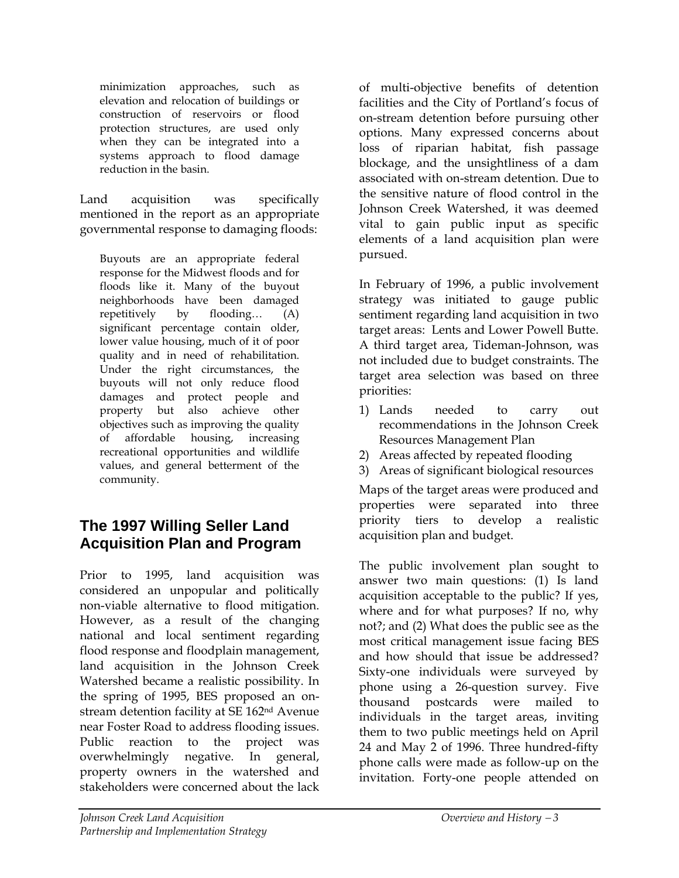minimization approaches, such as elevation and relocation of buildings or construction of reservoirs or flood protection structures, are used only when they can be integrated into a systems approach to flood damage reduction in the basin.

Land acquisition was specifically mentioned in the report as an appropriate governmental response to damaging floods:

Buyouts are an appropriate federal response for the Midwest floods and for floods like it. Many of the buyout neighborhoods have been damaged repetitively by flooding… (A) significant percentage contain older, lower value housing, much of it of poor quality and in need of rehabilitation. Under the right circumstances, the buyouts will not only reduce flood damages and protect people and property but also achieve other objectives such as improving the quality of affordable housing, increasing recreational opportunities and wildlife values, and general betterment of the community.

### **The 1997 Willing Seller Land Acquisition Plan and Program**

Prior to 1995, land acquisition was considered an unpopular and politically non-viable alternative to flood mitigation. However, as a result of the changing national and local sentiment regarding flood response and floodplain management, land acquisition in the Johnson Creek Watershed became a realistic possibility. In the spring of 1995, BES proposed an onstream detention facility at SE 162nd Avenue near Foster Road to address flooding issues. Public reaction to the project was overwhelmingly negative. In general, property owners in the watershed and stakeholders were concerned about the lack

of multi-objective benefits of detention facilities and the City of Portland's focus of on-stream detention before pursuing other options. Many expressed concerns about loss of riparian habitat, fish passage blockage, and the unsightliness of a dam associated with on-stream detention. Due to the sensitive nature of flood control in the Johnson Creek Watershed, it was deemed vital to gain public input as specific elements of a land acquisition plan were pursued.

In February of 1996, a public involvement strategy was initiated to gauge public sentiment regarding land acquisition in two target areas: Lents and Lower Powell Butte. A third target area, Tideman-Johnson, was not included due to budget constraints. The target area selection was based on three priorities:

- 1) Lands needed to carry out recommendations in the Johnson Creek Resources Management Plan
- 2) Areas affected by repeated flooding
- 3) Areas of significant biological resources

Maps of the target areas were produced and properties were separated into three priority tiers to develop a realistic acquisition plan and budget.

The public involvement plan sought to answer two main questions: (1) Is land acquisition acceptable to the public? If yes, where and for what purposes? If no, why not?; and (2) What does the public see as the most critical management issue facing BES and how should that issue be addressed? Sixty-one individuals were surveyed by phone using a 26-question survey. Five thousand postcards were mailed to individuals in the target areas, inviting them to two public meetings held on April 24 and May 2 of 1996. Three hundred-fifty phone calls were made as follow-up on the invitation. Forty-one people attended on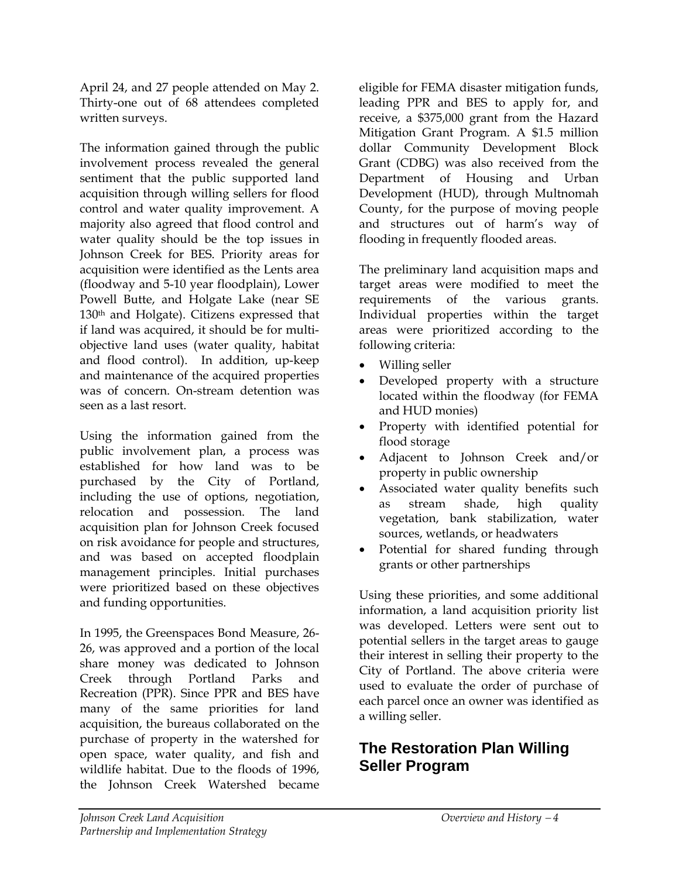April 24, and 27 people attended on May 2. Thirty-one out of 68 attendees completed written surveys.

The information gained through the public involvement process revealed the general sentiment that the public supported land acquisition through willing sellers for flood control and water quality improvement. A majority also agreed that flood control and water quality should be the top issues in Johnson Creek for BES. Priority areas for acquisition were identified as the Lents area (floodway and 5-10 year floodplain), Lower Powell Butte, and Holgate Lake (near SE 130th and Holgate). Citizens expressed that if land was acquired, it should be for multiobjective land uses (water quality, habitat and flood control). In addition, up-keep and maintenance of the acquired properties was of concern. On-stream detention was seen as a last resort.

Using the information gained from the public involvement plan, a process was established for how land was to be purchased by the City of Portland, including the use of options, negotiation, relocation and possession. The land acquisition plan for Johnson Creek focused on risk avoidance for people and structures, and was based on accepted floodplain management principles. Initial purchases were prioritized based on these objectives and funding opportunities.

In 1995, the Greenspaces Bond Measure, 26- 26, was approved and a portion of the local share money was dedicated to Johnson Creek through Portland Parks and Recreation (PPR). Since PPR and BES have many of the same priorities for land acquisition, the bureaus collaborated on the purchase of property in the watershed for open space, water quality, and fish and wildlife habitat. Due to the floods of 1996, the Johnson Creek Watershed became

eligible for FEMA disaster mitigation funds, leading PPR and BES to apply for, and receive, a \$375,000 grant from the Hazard Mitigation Grant Program. A \$1.5 million dollar Community Development Block Grant (CDBG) was also received from the Department of Housing and Urban Development (HUD), through Multnomah County, for the purpose of moving people and structures out of harm's way of flooding in frequently flooded areas.

The preliminary land acquisition maps and target areas were modified to meet the requirements of the various grants. Individual properties within the target areas were prioritized according to the following criteria:

- Willing seller
- Developed property with a structure located within the floodway (for FEMA and HUD monies)
- Property with identified potential for flood storage
- Adjacent to Johnson Creek and/or property in public ownership
- Associated water quality benefits such as stream shade, high quality vegetation, bank stabilization, water sources, wetlands, or headwaters
- Potential for shared funding through grants or other partnerships

Using these priorities, and some additional information, a land acquisition priority list was developed. Letters were sent out to potential sellers in the target areas to gauge their interest in selling their property to the City of Portland. The above criteria were used to evaluate the order of purchase of each parcel once an owner was identified as a willing seller.

## **The Restoration Plan Willing Seller Program**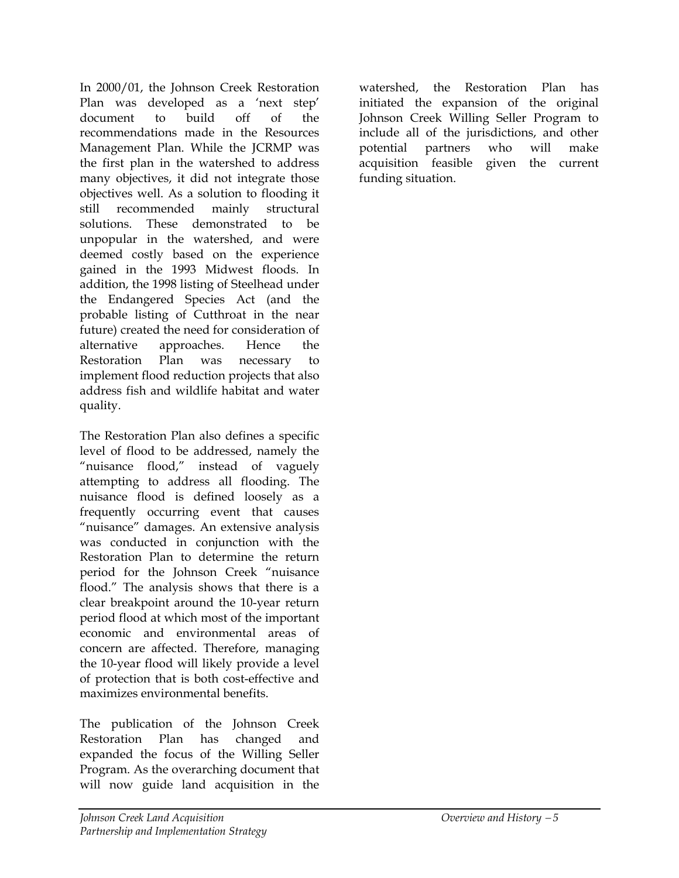In 2000/01, the Johnson Creek Restoration Plan was developed as a 'next step' document to build off of the recommendations made in the Resources Management Plan. While the JCRMP was the first plan in the watershed to address many objectives, it did not integrate those objectives well. As a solution to flooding it still recommended mainly structural solutions. These demonstrated to be unpopular in the watershed, and were deemed costly based on the experience gained in the 1993 Midwest floods. In addition, the 1998 listing of Steelhead under the Endangered Species Act (and the probable listing of Cutthroat in the near future) created the need for consideration of alternative approaches. Hence the Restoration Plan was necessary to implement flood reduction projects that also address fish and wildlife habitat and water quality.

The Restoration Plan also defines a specific level of flood to be addressed, namely the "nuisance flood," instead of vaguely attempting to address all flooding. The nuisance flood is defined loosely as a frequently occurring event that causes "nuisance" damages. An extensive analysis was conducted in conjunction with the Restoration Plan to determine the return period for the Johnson Creek "nuisance flood." The analysis shows that there is a clear breakpoint around the 10-year return period flood at which most of the important economic and environmental areas of concern are affected. Therefore, managing the 10-year flood will likely provide a level of protection that is both cost-effective and maximizes environmental benefits.

The publication of the Johnson Creek Restoration Plan has changed and expanded the focus of the Willing Seller Program. As the overarching document that will now guide land acquisition in the

watershed, the Restoration Plan has initiated the expansion of the original Johnson Creek Willing Seller Program to include all of the jurisdictions, and other potential partners who will make acquisition feasible given the current funding situation.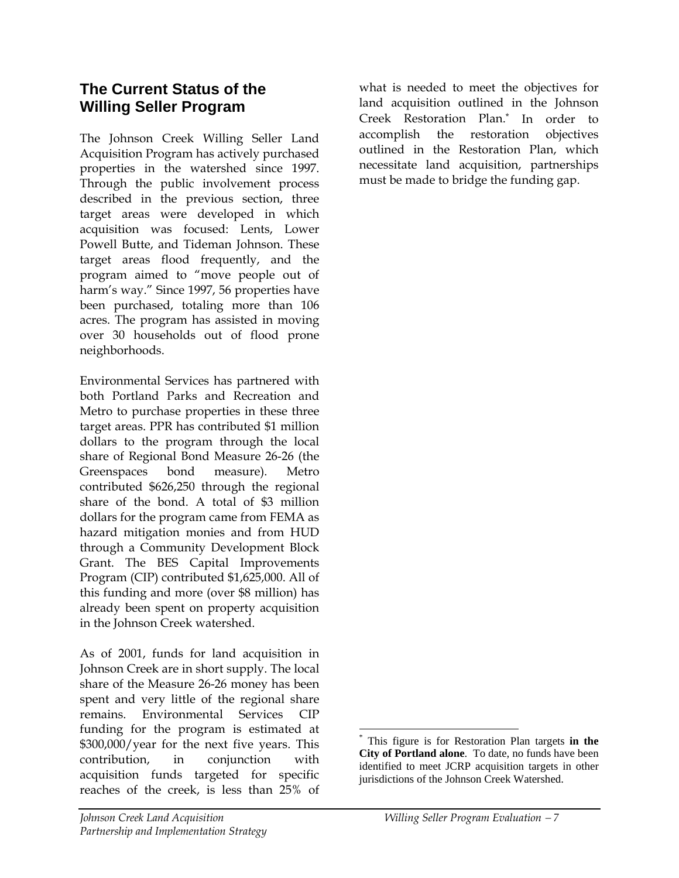### **The Current Status of the Willing Seller Program**

The Johnson Creek Willing Seller Land Acquisition Program has actively purchased properties in the watershed since 1997. Through the public involvement process described in the previous section, three target areas were developed in which acquisition was focused: Lents, Lower Powell Butte, and Tideman Johnson. These target areas flood frequently, and the program aimed to "move people out of harm's way." Since 1997, 56 properties have been purchased, totaling more than 106 acres. The program has assisted in moving over 30 households out of flood prone neighborhoods.

Environmental Services has partnered with both Portland Parks and Recreation and Metro to purchase properties in these three target areas. PPR has contributed \$1 million dollars to the program through the local share of Regional Bond Measure 26-26 (the Greenspaces bond measure). Metro contributed \$626,250 through the regional share of the bond. A total of \$3 million dollars for the program came from FEMA as hazard mitigation monies and from HUD through a Community Development Block Grant. The BES Capital Improvements Program (CIP) contributed \$1,625,000. All of this funding and more (over \$8 million) has already been spent on property acquisition in the Johnson Creek watershed.

As of 2001, funds for land acquisition in Johnson Creek are in short supply. The local share of the Measure 26-26 money has been spent and very little of the regional share remains. Environmental Services CIP funding for the program is estimated at \$300,000/year for the next five years. This contribution, in conjunction with acquisition funds targeted for specific reaches of the creek, is less than 25% of

what is needed to meet the objectives for land acquisition outlined in the Johnson Creek Restoration Plan.[\\*](#page-16-0) In order to accomplish the restoration objectives outlined in the Restoration Plan, which necessitate land acquisition, partnerships must be made to bridge the funding gap.

<span id="page-16-0"></span> <sup>\*</sup> This figure is for Restoration Plan targets **in the City of Portland alone**. To date, no funds have been identified to meet JCRP acquisition targets in other jurisdictions of the Johnson Creek Watershed.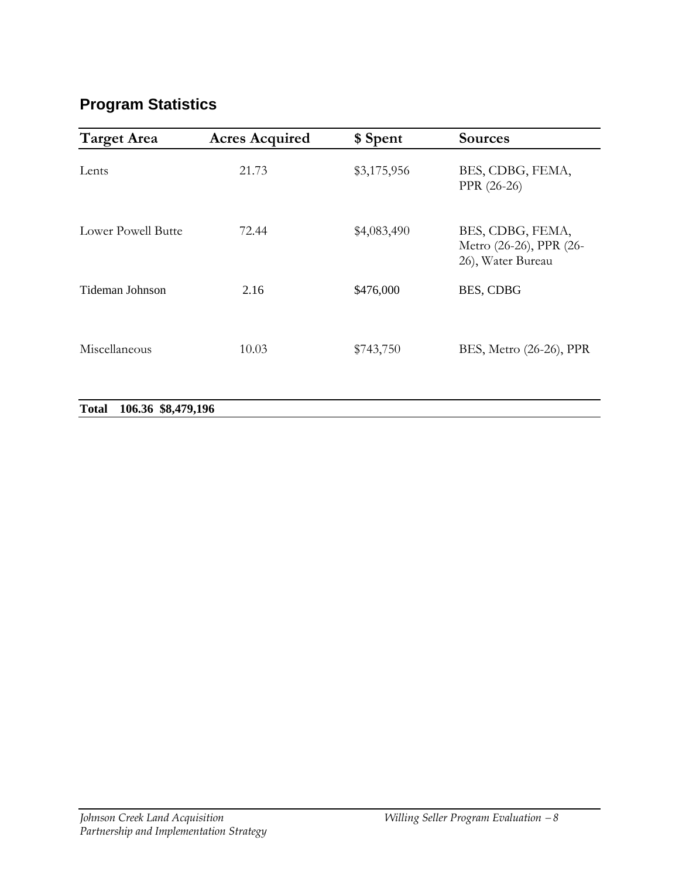# **Program Statistics**

| <b>Target Area</b>                 | <b>Acres Acquired</b> | \$ Spent    | <b>Sources</b>                                                   |
|------------------------------------|-----------------------|-------------|------------------------------------------------------------------|
| Lents                              | 21.73                 | \$3,175,956 | BES, CDBG, FEMA,<br>PPR (26-26)                                  |
| Lower Powell Butte                 | 72.44                 | \$4,083,490 | BES, CDBG, FEMA,<br>Metro (26-26), PPR (26-<br>26), Water Bureau |
| Tideman Johnson                    | 2.16                  | \$476,000   | BES, CDBG                                                        |
| Miscellaneous                      | 10.03                 | \$743,750   | BES, Metro (26-26), PPR                                          |
| 106.36 \$8,479,196<br><b>Total</b> |                       |             |                                                                  |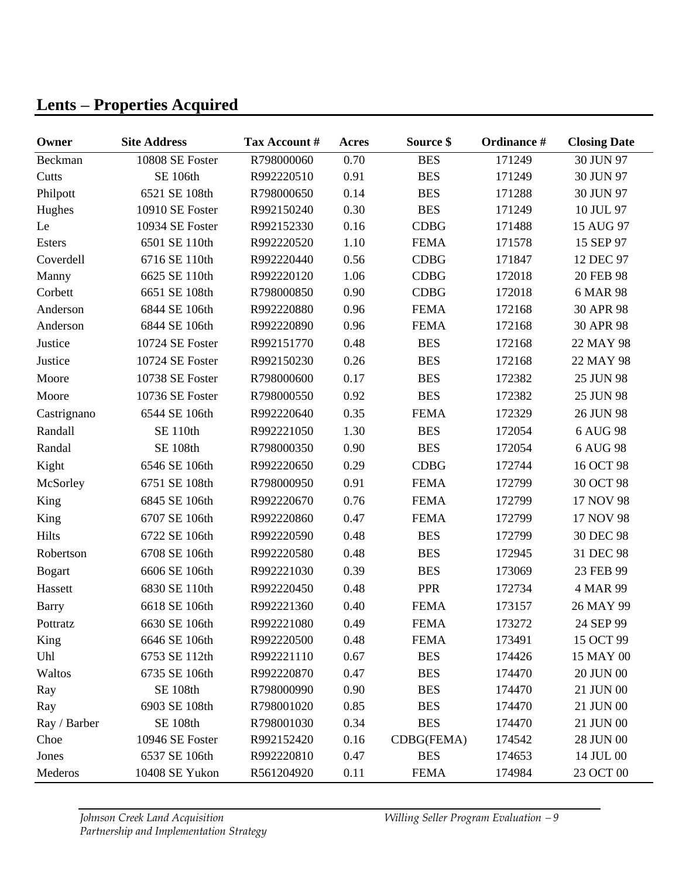# **Lents** − **Properties Acquired**

| Owner         | <b>Site Address</b> | Tax Account # | Acres | Source \$   | Ordinance # | <b>Closing Date</b> |
|---------------|---------------------|---------------|-------|-------------|-------------|---------------------|
| Beckman       | 10808 SE Foster     | R798000060    | 0.70  | <b>BES</b>  | 171249      | 30 JUN 97           |
| Cutts         | <b>SE 106th</b>     | R992220510    | 0.91  | <b>BES</b>  | 171249      | 30 JUN 97           |
| Philpott      | 6521 SE 108th       | R798000650    | 0.14  | <b>BES</b>  | 171288      | 30 JUN 97           |
| Hughes        | 10910 SE Foster     | R992150240    | 0.30  | <b>BES</b>  | 171249      | 10 JUL 97           |
| Le            | 10934 SE Foster     | R992152330    | 0.16  | <b>CDBG</b> | 171488      | 15 AUG 97           |
| Esters        | 6501 SE 110th       | R992220520    | 1.10  | <b>FEMA</b> | 171578      | 15 SEP 97           |
| Coverdell     | 6716 SE 110th       | R992220440    | 0.56  | <b>CDBG</b> | 171847      | 12 DEC 97           |
| Manny         | 6625 SE 110th       | R992220120    | 1.06  | <b>CDBG</b> | 172018      | 20 FEB 98           |
| Corbett       | 6651 SE 108th       | R798000850    | 0.90  | <b>CDBG</b> | 172018      | 6 MAR 98            |
| Anderson      | 6844 SE 106th       | R992220880    | 0.96  | <b>FEMA</b> | 172168      | 30 APR 98           |
| Anderson      | 6844 SE 106th       | R992220890    | 0.96  | <b>FEMA</b> | 172168      | 30 APR 98           |
| Justice       | 10724 SE Foster     | R992151770    | 0.48  | <b>BES</b>  | 172168      | 22 MAY 98           |
| Justice       | 10724 SE Foster     | R992150230    | 0.26  | <b>BES</b>  | 172168      | 22 MAY 98           |
| Moore         | 10738 SE Foster     | R798000600    | 0.17  | <b>BES</b>  | 172382      | 25 JUN 98           |
| Moore         | 10736 SE Foster     | R798000550    | 0.92  | <b>BES</b>  | 172382      | 25 JUN 98           |
| Castrignano   | 6544 SE 106th       | R992220640    | 0.35  | <b>FEMA</b> | 172329      | 26 JUN 98           |
| Randall       | <b>SE 110th</b>     | R992221050    | 1.30  | <b>BES</b>  | 172054      | 6 AUG 98            |
| Randal        | <b>SE 108th</b>     | R798000350    | 0.90  | <b>BES</b>  | 172054      | 6 AUG 98            |
| Kight         | 6546 SE 106th       | R992220650    | 0.29  | <b>CDBG</b> | 172744      | 16 OCT 98           |
| McSorley      | 6751 SE 108th       | R798000950    | 0.91  | <b>FEMA</b> | 172799      | 30 OCT 98           |
| King          | 6845 SE 106th       | R992220670    | 0.76  | <b>FEMA</b> | 172799      | 17 NOV 98           |
| King          | 6707 SE 106th       | R992220860    | 0.47  | <b>FEMA</b> | 172799      | 17 NOV 98           |
| <b>Hilts</b>  | 6722 SE 106th       | R992220590    | 0.48  | <b>BES</b>  | 172799      | 30 DEC 98           |
| Robertson     | 6708 SE 106th       | R992220580    | 0.48  | <b>BES</b>  | 172945      | 31 DEC 98           |
| <b>Bogart</b> | 6606 SE 106th       | R992221030    | 0.39  | <b>BES</b>  | 173069      | 23 FEB 99           |
| Hassett       | 6830 SE 110th       | R992220450    | 0.48  | <b>PPR</b>  | 172734      | 4 MAR 99            |
| <b>Barry</b>  | 6618 SE 106th       | R992221360    | 0.40  | <b>FEMA</b> | 173157      | 26 MAY 99           |
| Pottratz      | 6630 SE 106th       | R992221080    | 0.49  | <b>FEMA</b> | 173272      | 24 SEP 99           |
| King          | 6646 SE 106th       | R992220500    | 0.48  | <b>FEMA</b> | 173491      | 15 OCT 99           |
| Uhl           | 6753 SE 112th       | R992221110    | 0.67  | <b>BES</b>  | 174426      | 15 MAY 00           |
| Waltos        | 6735 SE 106th       | R992220870    | 0.47  | <b>BES</b>  | 174470      | 20 JUN 00           |
| Ray           | <b>SE 108th</b>     | R798000990    | 0.90  | <b>BES</b>  | 174470      | 21 JUN 00           |
| Ray           | 6903 SE 108th       | R798001020    | 0.85  | <b>BES</b>  | 174470      | 21 JUN 00           |
| Ray / Barber  | <b>SE 108th</b>     | R798001030    | 0.34  | <b>BES</b>  | 174470      | 21 JUN 00           |
| Choe          | 10946 SE Foster     | R992152420    | 0.16  | CDBG(FEMA)  | 174542      | 28 JUN 00           |
| Jones         | 6537 SE 106th       | R992220810    | 0.47  | <b>BES</b>  | 174653      | 14 JUL 00           |
| Mederos       | 10408 SE Yukon      | R561204920    | 0.11  | <b>FEMA</b> | 174984      | 23 OCT 00           |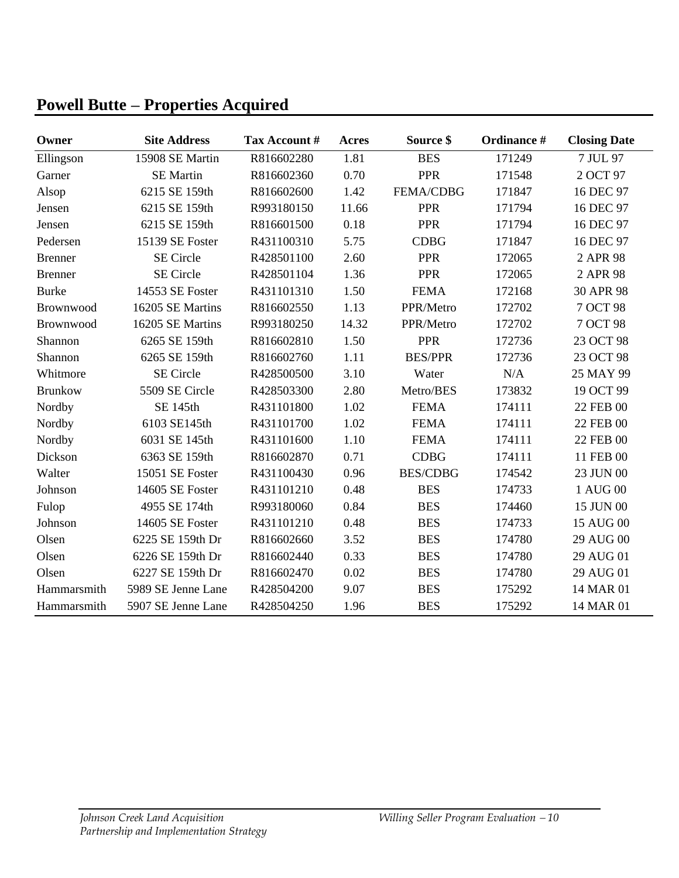# **Powell Butte** − **Properties Acquired**

| Owner          | <b>Site Address</b> | Tax Account # | Acres | Source \$        | Ordinance # | <b>Closing Date</b> |
|----------------|---------------------|---------------|-------|------------------|-------------|---------------------|
| Ellingson      | 15908 SE Martin     | R816602280    | 1.81  | <b>BES</b>       | 171249      | 7 JUL 97            |
| Garner         | <b>SE</b> Martin    | R816602360    | 0.70  | <b>PPR</b>       | 171548      | 2 OCT 97            |
| Alsop          | 6215 SE 159th       | R816602600    | 1.42  | <b>FEMA/CDBG</b> | 171847      | 16 DEC 97           |
| Jensen         | 6215 SE 159th       | R993180150    | 11.66 | <b>PPR</b>       | 171794      | 16 DEC 97           |
| Jensen         | 6215 SE 159th       | R816601500    | 0.18  | <b>PPR</b>       | 171794      | 16 DEC 97           |
| Pedersen       | 15139 SE Foster     | R431100310    | 5.75  | <b>CDBG</b>      | 171847      | 16 DEC 97           |
| <b>Brenner</b> | <b>SE</b> Circle    | R428501100    | 2.60  | <b>PPR</b>       | 172065      | 2 APR 98            |
| <b>Brenner</b> | <b>SE</b> Circle    | R428501104    | 1.36  | <b>PPR</b>       | 172065      | 2 APR 98            |
| <b>Burke</b>   | 14553 SE Foster     | R431101310    | 1.50  | <b>FEMA</b>      | 172168      | 30 APR 98           |
| Brownwood      | 16205 SE Martins    | R816602550    | 1.13  | PPR/Metro        | 172702      | 7 OCT 98            |
| Brownwood      | 16205 SE Martins    | R993180250    | 14.32 | PPR/Metro        | 172702      | 7 OCT 98            |
| Shannon        | 6265 SE 159th       | R816602810    | 1.50  | <b>PPR</b>       | 172736      | 23 OCT 98           |
| Shannon        | 6265 SE 159th       | R816602760    | 1.11  | <b>BES/PPR</b>   | 172736      | 23 OCT 98           |
| Whitmore       | <b>SE</b> Circle    | R428500500    | 3.10  | Water            | N/A         | 25 MAY 99           |
| <b>Brunkow</b> | 5509 SE Circle      | R428503300    | 2.80  | Metro/BES        | 173832      | 19 OCT 99           |
| Nordby         | SE 145th            | R431101800    | 1.02  | <b>FEMA</b>      | 174111      | 22 FEB 00           |
| Nordby         | 6103 SE145th        | R431101700    | 1.02  | <b>FEMA</b>      | 174111      | 22 FEB 00           |
| Nordby         | 6031 SE 145th       | R431101600    | 1.10  | <b>FEMA</b>      | 174111      | 22 FEB 00           |
| Dickson        | 6363 SE 159th       | R816602870    | 0.71  | <b>CDBG</b>      | 174111      | 11 FEB 00           |
| Walter         | 15051 SE Foster     | R431100430    | 0.96  | <b>BES/CDBG</b>  | 174542      | 23 JUN 00           |
| Johnson        | 14605 SE Foster     | R431101210    | 0.48  | <b>BES</b>       | 174733      | 1 AUG 00            |
| Fulop          | 4955 SE 174th       | R993180060    | 0.84  | <b>BES</b>       | 174460      | 15 JUN 00           |
| Johnson        | 14605 SE Foster     | R431101210    | 0.48  | <b>BES</b>       | 174733      | 15 AUG 00           |
| Olsen          | 6225 SE 159th Dr    | R816602660    | 3.52  | <b>BES</b>       | 174780      | 29 AUG 00           |
| Olsen          | 6226 SE 159th Dr    | R816602440    | 0.33  | <b>BES</b>       | 174780      | 29 AUG 01           |
| Olsen          | 6227 SE 159th Dr    | R816602470    | 0.02  | <b>BES</b>       | 174780      | 29 AUG 01           |
| Hammarsmith    | 5989 SE Jenne Lane  | R428504200    | 9.07  | <b>BES</b>       | 175292      | 14 MAR 01           |
| Hammarsmith    | 5907 SE Jenne Lane  | R428504250    | 1.96  | <b>BES</b>       | 175292      | 14 MAR 01           |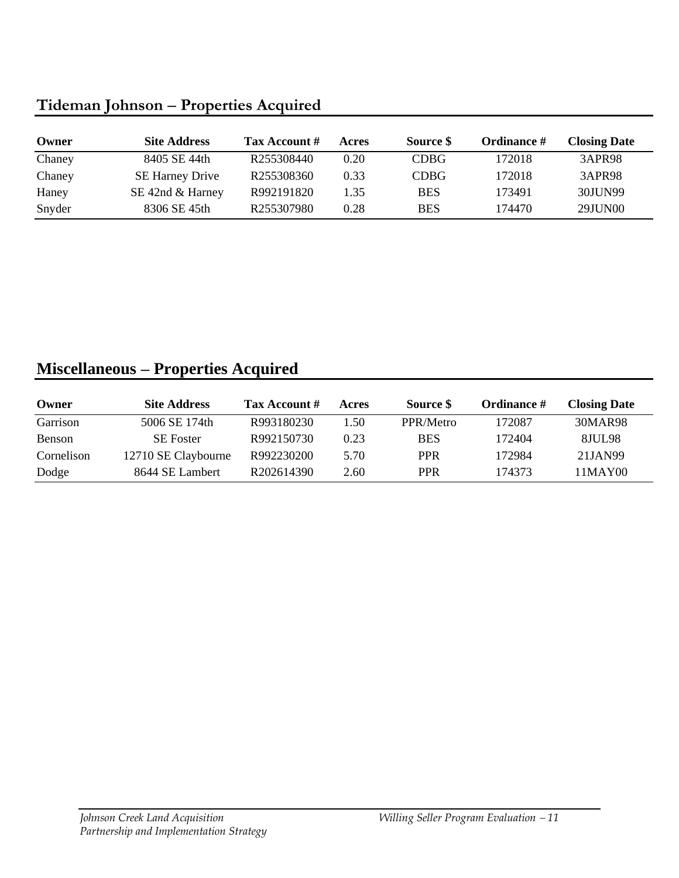# **Tideman Johnson** − **Properties Acquired**

| Owner  | <b>Site Address</b>    | Tax Account # | Acres | Source \$   | <b>Ordinance</b> # | <b>Closing Date</b> |
|--------|------------------------|---------------|-------|-------------|--------------------|---------------------|
| Chaney | 8405 SE 44th           | R255308440    | 0.20  | <b>CDBG</b> | 172018             | 3APR98              |
| Chaney | <b>SE Harney Drive</b> | R255308360    | 0.33  | <b>CDBG</b> | 172018             | <b>3APR98</b>       |
| Haney  | SE 42nd & Harney       | R992191820    | 1.35  | <b>BES</b>  | 173491             | 30JUN99             |
| Snyder | 8306 SE 45th           | R255307980    | 0.28  | <b>BES</b>  | 174470             | 29JUN00             |

# **Miscellaneous** − **Properties Acquired**

| Owner      | <b>Site Address</b> | Tax Account # | Acres | Source \$  | Ordinance # | <b>Closing Date</b> |
|------------|---------------------|---------------|-------|------------|-------------|---------------------|
| Garrison   | 5006 SE 174th       | R993180230    | 1.50  | PPR/Metro  | 172087      | 30MAR98             |
| Benson     | <b>SE</b> Foster    | R992150730    | 0.23  | <b>BES</b> | 172404      | <b>8JUL98</b>       |
| Cornelison | 12710 SE Claybourne | R992230200    | 5.70  | <b>PPR</b> | 172984      | 21JAN99             |
| Dodge      | 8644 SE Lambert     | R202614390    | 2.60  | <b>PPR</b> | 174373      | 11MAY00             |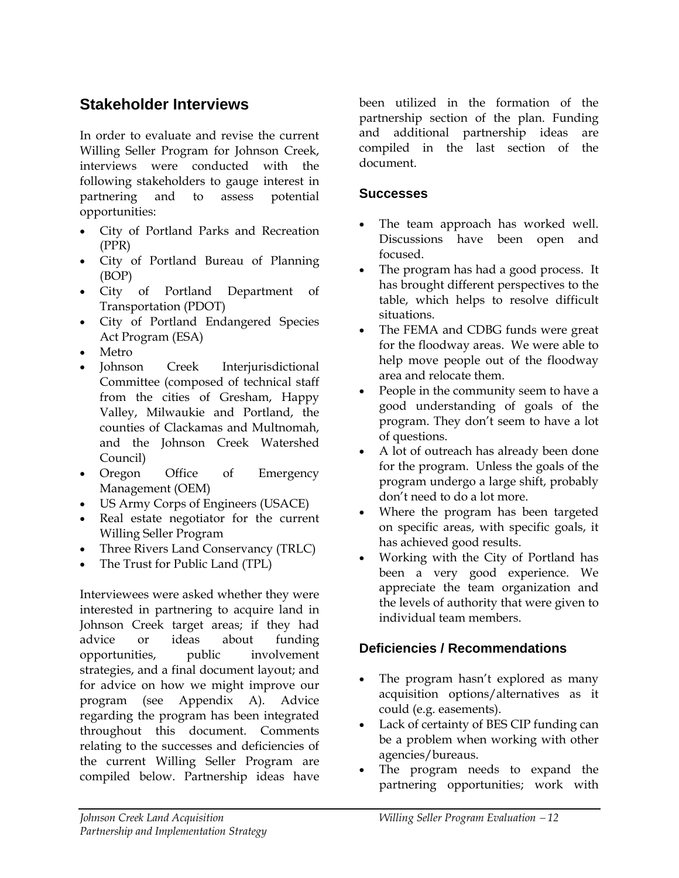### **Stakeholder Interviews**

In order to evaluate and revise the current Willing Seller Program for Johnson Creek, interviews were conducted with the following stakeholders to gauge interest in partnering and to assess potential opportunities:

- City of Portland Parks and Recreation (PPR)
- City of Portland Bureau of Planning (BOP)
- City of Portland Department of Transportation (PDOT)
- City of Portland Endangered Species Act Program (ESA)
- Metro
- Johnson Creek Interjurisdictional Committee (composed of technical staff from the cities of Gresham, Happy Valley, Milwaukie and Portland, the counties of Clackamas and Multnomah, and the Johnson Creek Watershed Council)
- Oregon Office of Emergency Management (OEM)
- US Army Corps of Engineers (USACE)
- Real estate negotiator for the current Willing Seller Program
- Three Rivers Land Conservancy (TRLC)
- The Trust for Public Land (TPL)

Interviewees were asked whether they were interested in partnering to acquire land in Johnson Creek target areas; if they had advice or ideas about funding opportunities, public involvement strategies, and a final document layout; and for advice on how we might improve our program (see Appendix A). Advice regarding the program has been integrated throughout this document. Comments relating to the successes and deficiencies of the current Willing Seller Program are compiled below. Partnership ideas have

been utilized in the formation of the partnership section of the plan. Funding and additional partnership ideas are compiled in the last section of the document.

### **Successes**

- The team approach has worked well. Discussions have been open and focused.
- The program has had a good process. It has brought different perspectives to the table, which helps to resolve difficult situations.
- The FEMA and CDBG funds were great for the floodway areas. We were able to help move people out of the floodway area and relocate them.
- People in the community seem to have a good understanding of goals of the program. They don't seem to have a lot of questions.
- A lot of outreach has already been done for the program. Unless the goals of the program undergo a large shift, probably don't need to do a lot more.
- Where the program has been targeted on specific areas, with specific goals, it has achieved good results.
- Working with the City of Portland has been a very good experience. We appreciate the team organization and the levels of authority that were given to individual team members.

### **Deficiencies / Recommendations**

- The program hasn't explored as many acquisition options/alternatives as it could (e.g. easements).
- Lack of certainty of BES CIP funding can be a problem when working with other agencies/bureaus.
- The program needs to expand the partnering opportunities; work with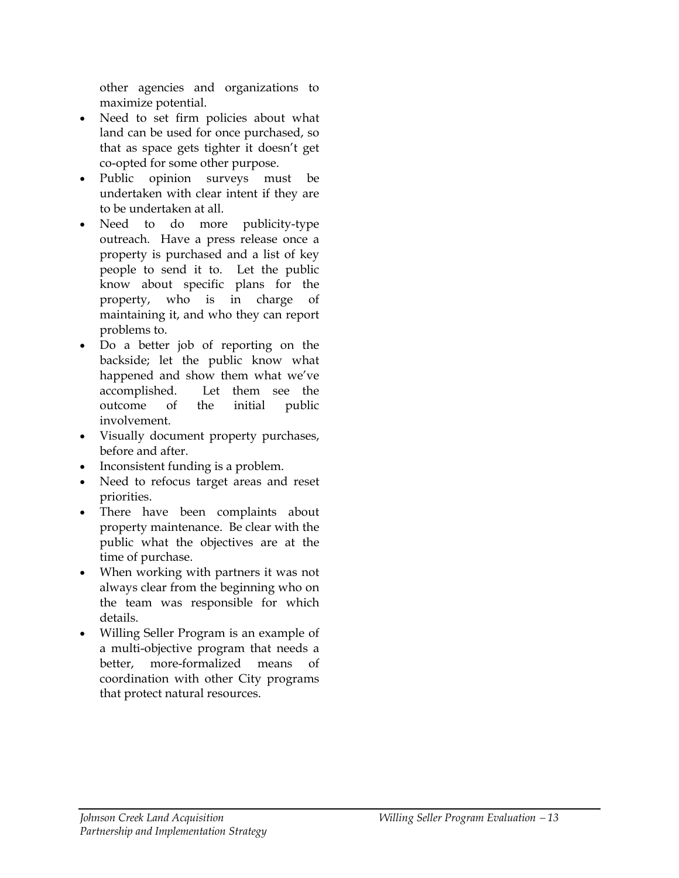other agencies and organizations to maximize potential.

- Need to set firm policies about what land can be used for once purchased, so that as space gets tighter it doesn't get co-opted for some other purpose.
- Public opinion surveys must be undertaken with clear intent if they are to be undertaken at all.
- Need to do more publicity-type outreach. Have a press release once a property is purchased and a list of key people to send it to. Let the public know about specific plans for the property, who is in charge of maintaining it, and who they can report problems to.
- Do a better job of reporting on the backside; let the public know what happened and show them what we've accomplished. Let them see the outcome of the initial public involvement.
- Visually document property purchases, before and after.
- Inconsistent funding is a problem.
- Need to refocus target areas and reset priorities.
- There have been complaints about property maintenance. Be clear with the public what the objectives are at the time of purchase.
- When working with partners it was not always clear from the beginning who on the team was responsible for which details.
- Willing Seller Program is an example of a multi-objective program that needs a better, more-formalized means of coordination with other City programs that protect natural resources.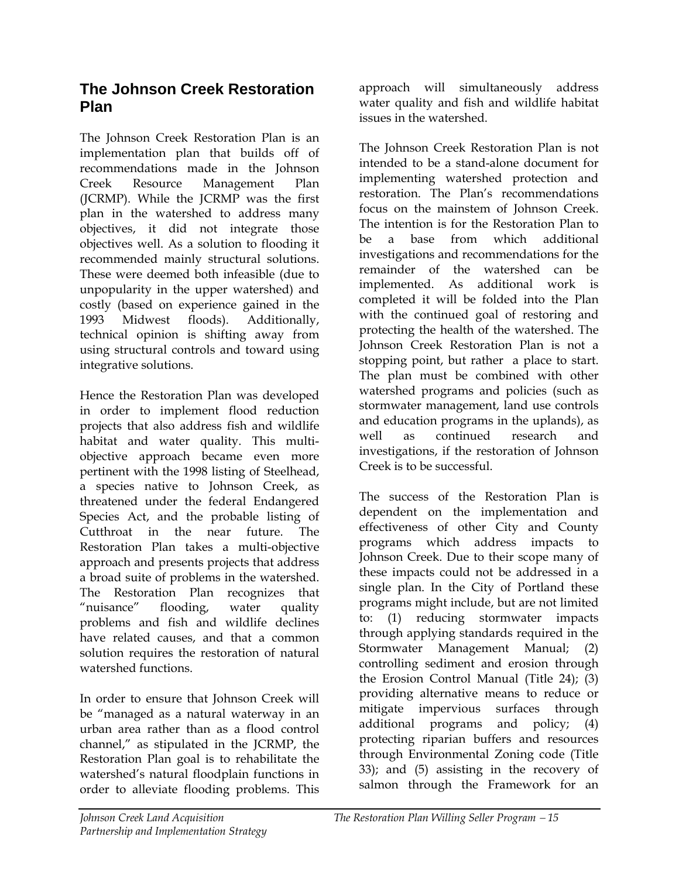### **The Johnson Creek Restoration Plan**

The Johnson Creek Restoration Plan is an implementation plan that builds off of recommendations made in the Johnson Creek Resource Management Plan (JCRMP). While the JCRMP was the first plan in the watershed to address many objectives, it did not integrate those objectives well. As a solution to flooding it recommended mainly structural solutions. These were deemed both infeasible (due to unpopularity in the upper watershed) and costly (based on experience gained in the 1993 Midwest floods). Additionally, technical opinion is shifting away from using structural controls and toward using integrative solutions.

Hence the Restoration Plan was developed in order to implement flood reduction projects that also address fish and wildlife habitat and water quality. This multiobjective approach became even more pertinent with the 1998 listing of Steelhead, a species native to Johnson Creek, as threatened under the federal Endangered Species Act, and the probable listing of Cutthroat in the near future. The Restoration Plan takes a multi-objective approach and presents projects that address a broad suite of problems in the watershed. The Restoration Plan recognizes that "nuisance" flooding, water quality problems and fish and wildlife declines have related causes, and that a common solution requires the restoration of natural watershed functions.

In order to ensure that Johnson Creek will be "managed as a natural waterway in an urban area rather than as a flood control channel," as stipulated in the JCRMP, the Restoration Plan goal is to rehabilitate the watershed's natural floodplain functions in order to alleviate flooding problems. This

approach will simultaneously address water quality and fish and wildlife habitat issues in the watershed.

The Johnson Creek Restoration Plan is not intended to be a stand-alone document for implementing watershed protection and restoration. The Plan's recommendations focus on the mainstem of Johnson Creek. The intention is for the Restoration Plan to be a base from which additional investigations and recommendations for the remainder of the watershed can be implemented. As additional work is completed it will be folded into the Plan with the continued goal of restoring and protecting the health of the watershed. The Johnson Creek Restoration Plan is not a stopping point, but rather a place to start. The plan must be combined with other watershed programs and policies (such as stormwater management, land use controls and education programs in the uplands), as well as continued research and investigations, if the restoration of Johnson Creek is to be successful.

The success of the Restoration Plan is dependent on the implementation and effectiveness of other City and County programs which address impacts to Johnson Creek. Due to their scope many of these impacts could not be addressed in a single plan. In the City of Portland these programs might include, but are not limited to: (1) reducing stormwater impacts through applying standards required in the Stormwater Management Manual; (2) controlling sediment and erosion through the Erosion Control Manual (Title 24); (3) providing alternative means to reduce or mitigate impervious surfaces through additional programs and policy; (4) protecting riparian buffers and resources through Environmental Zoning code (Title 33); and (5) assisting in the recovery of salmon through the Framework for an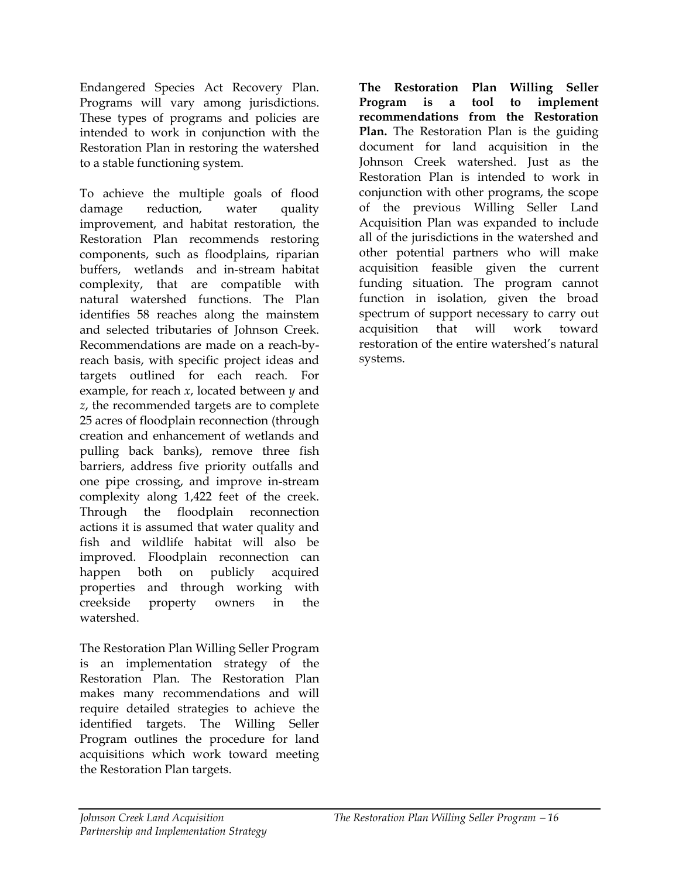Endangered Species Act Recovery Plan. Programs will vary among jurisdictions. These types of programs and policies are intended to work in conjunction with the Restoration Plan in restoring the watershed to a stable functioning system.

To achieve the multiple goals of flood damage reduction, water quality improvement, and habitat restoration, the Restoration Plan recommends restoring components, such as floodplains, riparian buffers, wetlands and in-stream habitat complexity, that are compatible with natural watershed functions. The Plan identifies 58 reaches along the mainstem and selected tributaries of Johnson Creek. Recommendations are made on a reach-byreach basis, with specific project ideas and targets outlined for each reach. For example, for reach *x*, located between *y* and *z*, the recommended targets are to complete 25 acres of floodplain reconnection (through creation and enhancement of wetlands and pulling back banks), remove three fish barriers, address five priority outfalls and one pipe crossing, and improve in-stream complexity along 1,422 feet of the creek. Through the floodplain reconnection actions it is assumed that water quality and fish and wildlife habitat will also be improved. Floodplain reconnection can happen both on publicly acquired properties and through working with creekside property owners in the watershed.

The Restoration Plan Willing Seller Program is an implementation strategy of the Restoration Plan. The Restoration Plan makes many recommendations and will require detailed strategies to achieve the identified targets. The Willing Seller Program outlines the procedure for land acquisitions which work toward meeting the Restoration Plan targets.

**The Restoration Plan Willing Seller Program is a tool to implement recommendations from the Restoration Plan.** The Restoration Plan is the guiding document for land acquisition in the Johnson Creek watershed. Just as the Restoration Plan is intended to work in conjunction with other programs, the scope of the previous Willing Seller Land Acquisition Plan was expanded to include all of the jurisdictions in the watershed and other potential partners who will make acquisition feasible given the current funding situation. The program cannot function in isolation, given the broad spectrum of support necessary to carry out acquisition that will work toward restoration of the entire watershed's natural systems.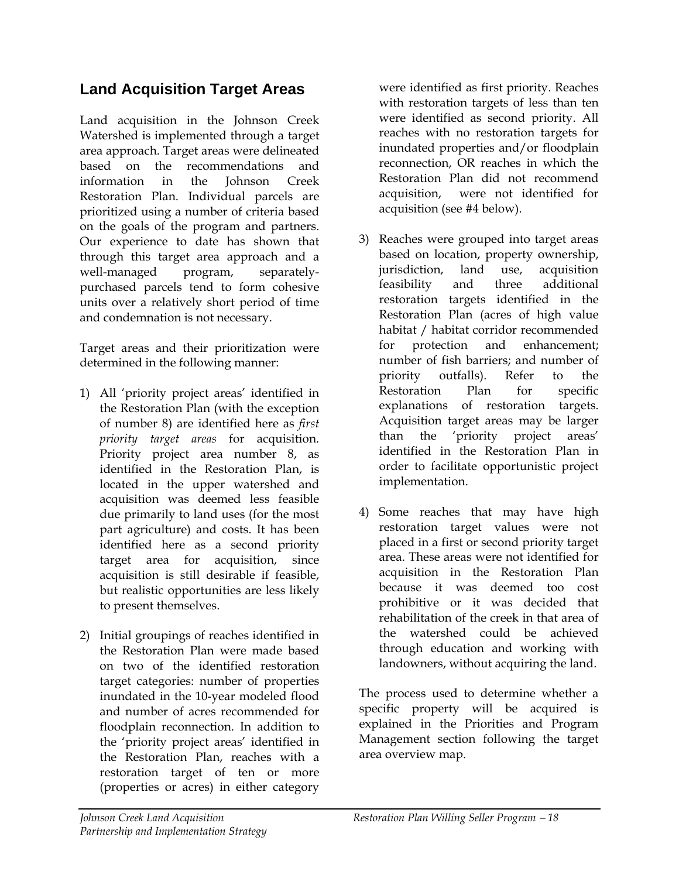### **Land Acquisition Target Areas**

Land acquisition in the Johnson Creek Watershed is implemented through a target area approach. Target areas were delineated based on the recommendations and information in the Johnson Creek Restoration Plan. Individual parcels are prioritized using a number of criteria based on the goals of the program and partners. Our experience to date has shown that through this target area approach and a well-managed program, separatelypurchased parcels tend to form cohesive units over a relatively short period of time and condemnation is not necessary.

Target areas and their prioritization were determined in the following manner:

- 1) All 'priority project areas' identified in the Restoration Plan (with the exception of number 8) are identified here as *first priority target areas* for acquisition. Priority project area number 8, as identified in the Restoration Plan, is located in the upper watershed and acquisition was deemed less feasible due primarily to land uses (for the most part agriculture) and costs. It has been identified here as a second priority target area for acquisition, since acquisition is still desirable if feasible, but realistic opportunities are less likely to present themselves.
- 2) Initial groupings of reaches identified in the Restoration Plan were made based on two of the identified restoration target categories: number of properties inundated in the 10-year modeled flood and number of acres recommended for floodplain reconnection. In addition to the 'priority project areas' identified in the Restoration Plan, reaches with a restoration target of ten or more (properties or acres) in either category

were identified as first priority. Reaches with restoration targets of less than ten were identified as second priority. All reaches with no restoration targets for inundated properties and/or floodplain reconnection, OR reaches in which the Restoration Plan did not recommend acquisition, were not identified for acquisition (see #4 below).

- 3) Reaches were grouped into target areas based on location, property ownership, jurisdiction, land use, acquisition feasibility and three additional restoration targets identified in the Restoration Plan (acres of high value habitat / habitat corridor recommended for protection and enhancement; number of fish barriers; and number of priority outfalls). Refer to the Restoration Plan for specific explanations of restoration targets. Acquisition target areas may be larger than the 'priority project areas' identified in the Restoration Plan in order to facilitate opportunistic project implementation.
- 4) Some reaches that may have high restoration target values were not placed in a first or second priority target area. These areas were not identified for acquisition in the Restoration Plan because it was deemed too cost prohibitive or it was decided that rehabilitation of the creek in that area of the watershed could be achieved through education and working with landowners, without acquiring the land.

The process used to determine whether a specific property will be acquired is explained in the Priorities and Program Management section following the target area overview map.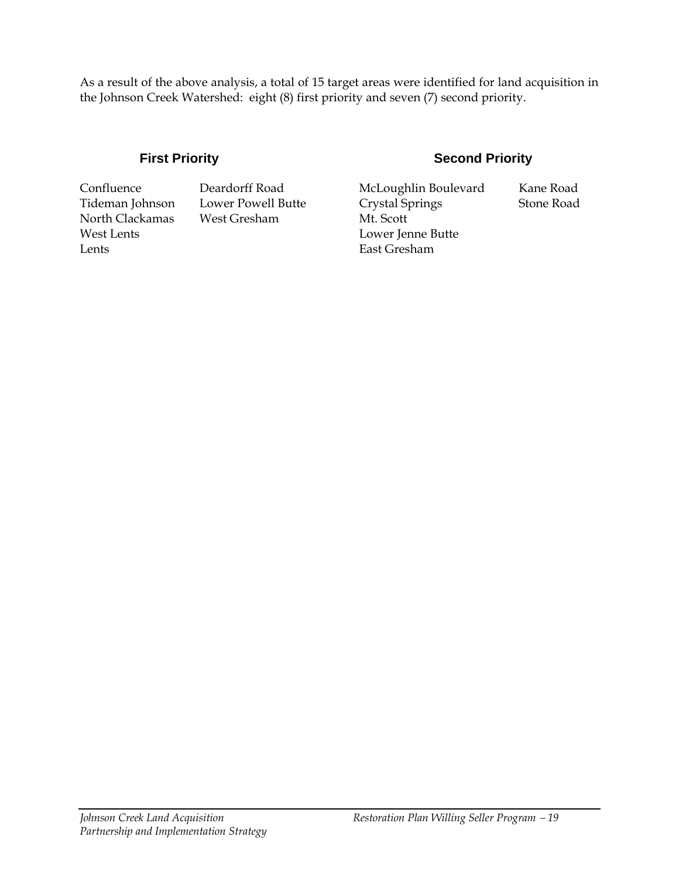As a result of the above analysis, a total of 15 target areas were identified for land acquisition in the Johnson Creek Watershed: eight (8) first priority and seven (7) second priority.

Lents **East Gresham** 

North Clackamas West Gresham Mt. Scott

### **First Priority Second Priority**

Confluence Deardorff Road McLoughlin Boulevard Kane Road Tideman Johnson Lower Powell Butte Crystal Springs Stone Road West Lents **Lower Jenne Butte**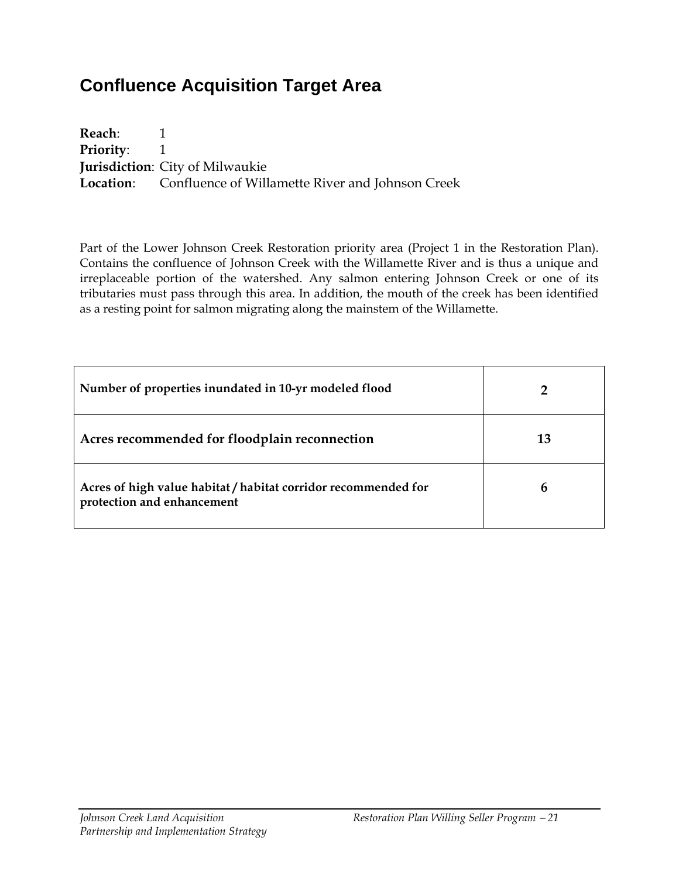# **Confluence Acquisition Target Area**

**Reach**: 1 **Priority:** 1 **Jurisdiction**: City of Milwaukie **Location**: Confluence of Willamette River and Johnson Creek

Part of the Lower Johnson Creek Restoration priority area (Project 1 in the Restoration Plan). Contains the confluence of Johnson Creek with the Willamette River and is thus a unique and irreplaceable portion of the watershed. Any salmon entering Johnson Creek or one of its tributaries must pass through this area. In addition, the mouth of the creek has been identified as a resting point for salmon migrating along the mainstem of the Willamette.

| Number of properties inundated in 10-yr modeled flood                                        |    |
|----------------------------------------------------------------------------------------------|----|
| Acres recommended for floodplain reconnection                                                | 13 |
| Acres of high value habitat / habitat corridor recommended for<br>protection and enhancement | h  |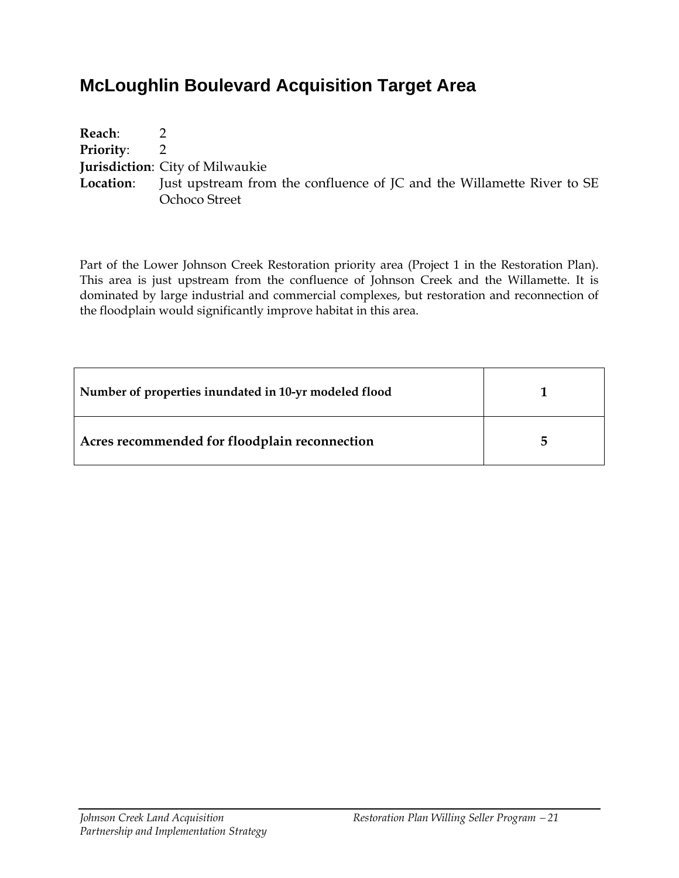# **McLoughlin Boulevard Acquisition Target Area**

| Reach:             |                                                                                         |
|--------------------|-----------------------------------------------------------------------------------------|
| <b>Priority:</b> 2 |                                                                                         |
|                    | <b>Jurisdiction:</b> City of Milwaukie                                                  |
|                    | <b>Location:</b> Just upstream from the confluence of JC and the Willamette River to SE |
|                    | Ochoco Street                                                                           |

Part of the Lower Johnson Creek Restoration priority area (Project 1 in the Restoration Plan). This area is just upstream from the confluence of Johnson Creek and the Willamette. It is dominated by large industrial and commercial complexes, but restoration and reconnection of the floodplain would significantly improve habitat in this area.

| Number of properties inundated in 10-yr modeled flood |    |
|-------------------------------------------------------|----|
| Acres recommended for floodplain reconnection         | г, |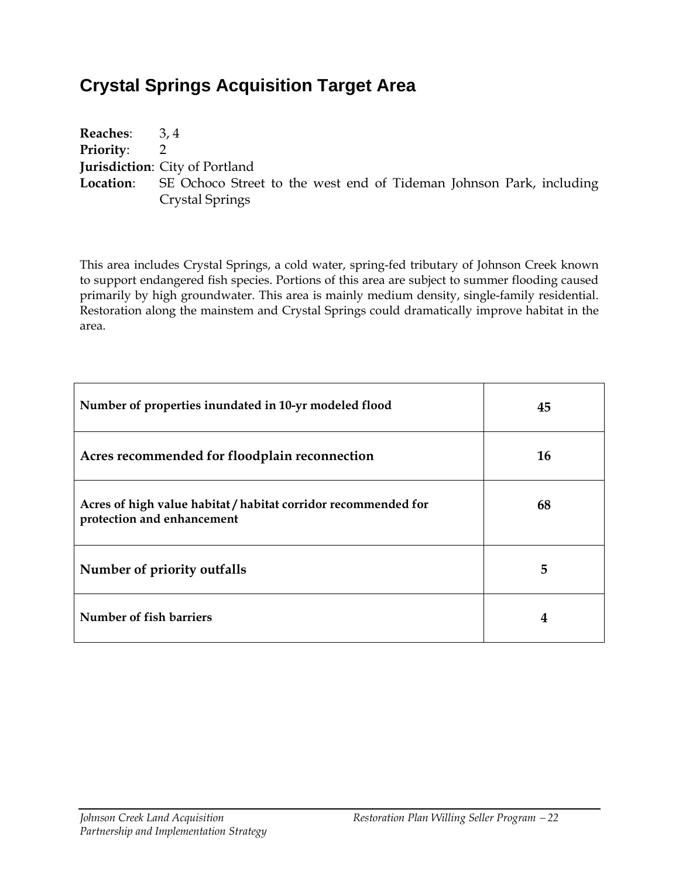# **Crystal Springs Acquisition Target Area**

| <b>Reaches:</b>  | 3.4                                                                                  |
|------------------|--------------------------------------------------------------------------------------|
| <b>Priority:</b> |                                                                                      |
|                  | <b>Jurisdiction:</b> City of Portland                                                |
|                  | <b>Location:</b> SE Ochoco Street to the west end of Tideman Johnson Park, including |
|                  | Crystal Springs                                                                      |

This area includes Crystal Springs, a cold water, spring-fed tributary of Johnson Creek known to support endangered fish species. Portions of this area are subject to summer flooding caused primarily by high groundwater. This area is mainly medium density, single-family residential. Restoration along the mainstem and Crystal Springs could dramatically improve habitat in the area.

| Number of properties inundated in 10-yr modeled flood                                        | 45 |
|----------------------------------------------------------------------------------------------|----|
| Acres recommended for floodplain reconnection                                                | 16 |
| Acres of high value habitat / habitat corridor recommended for<br>protection and enhancement | 68 |
| Number of priority outfalls                                                                  | 5  |
| Number of fish barriers                                                                      | 4  |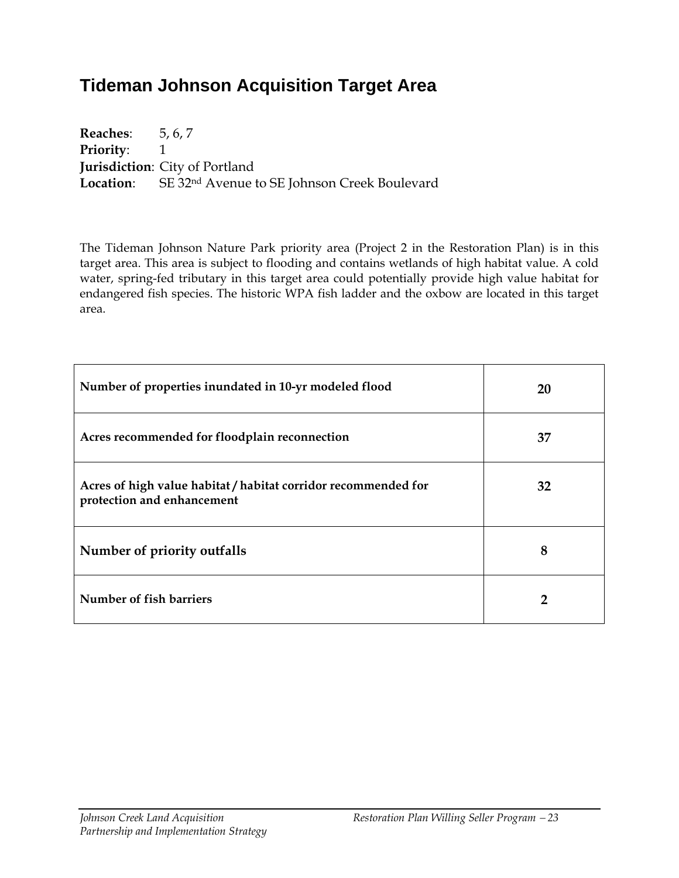# **Tideman Johnson Acquisition Target Area**

**Reaches**: 5, 6, 7 **Priority:** 1 **Jurisdiction**: City of Portland **Location**: SE 32nd Avenue to SE Johnson Creek Boulevard

The Tideman Johnson Nature Park priority area (Project 2 in the Restoration Plan) is in this target area. This area is subject to flooding and contains wetlands of high habitat value. A cold water, spring-fed tributary in this target area could potentially provide high value habitat for endangered fish species. The historic WPA fish ladder and the oxbow are located in this target area.

| Number of properties inundated in 10-yr modeled flood                                        | 20 |
|----------------------------------------------------------------------------------------------|----|
| Acres recommended for floodplain reconnection                                                | 37 |
| Acres of high value habitat / habitat corridor recommended for<br>protection and enhancement | 32 |
| Number of priority outfalls                                                                  | 8  |
| Number of fish barriers                                                                      |    |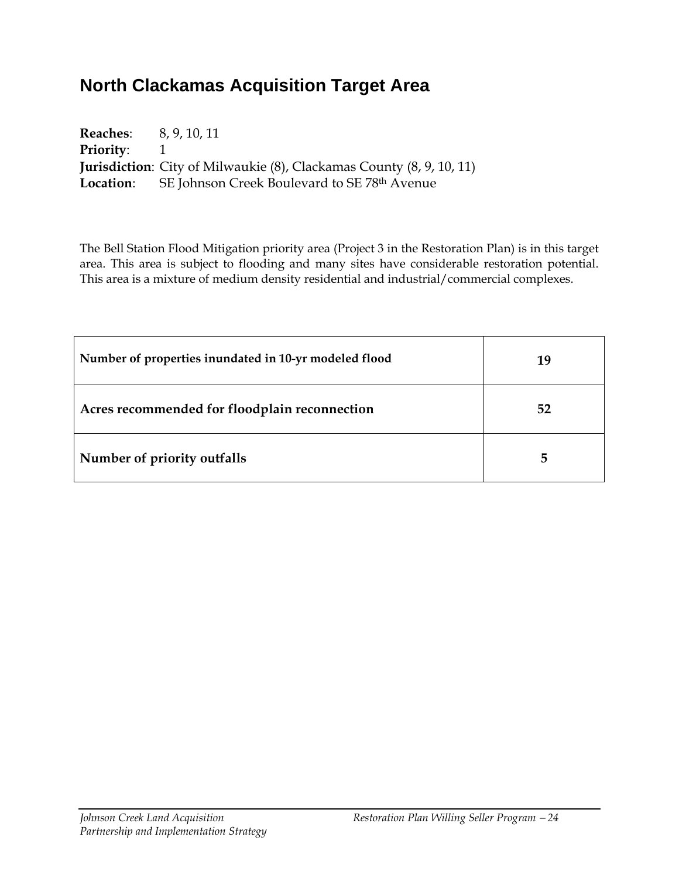# **North Clackamas Acquisition Target Area**

| <b>Reaches:</b> 8, 9, 10, 11 |                                                                              |
|------------------------------|------------------------------------------------------------------------------|
| <b>Priority:</b>             |                                                                              |
|                              | <b>Jurisdiction</b> : City of Milwaukie (8), Clackamas County (8, 9, 10, 11) |
|                              | <b>Location:</b> SE Johnson Creek Boulevard to SE 78 <sup>th</sup> Avenue    |

The Bell Station Flood Mitigation priority area (Project 3 in the Restoration Plan) is in this target area. This area is subject to flooding and many sites have considerable restoration potential. This area is a mixture of medium density residential and industrial/commercial complexes.

| Number of properties inundated in 10-yr modeled flood | 19 |
|-------------------------------------------------------|----|
| Acres recommended for floodplain reconnection         | 52 |
| Number of priority outfalls                           | 5  |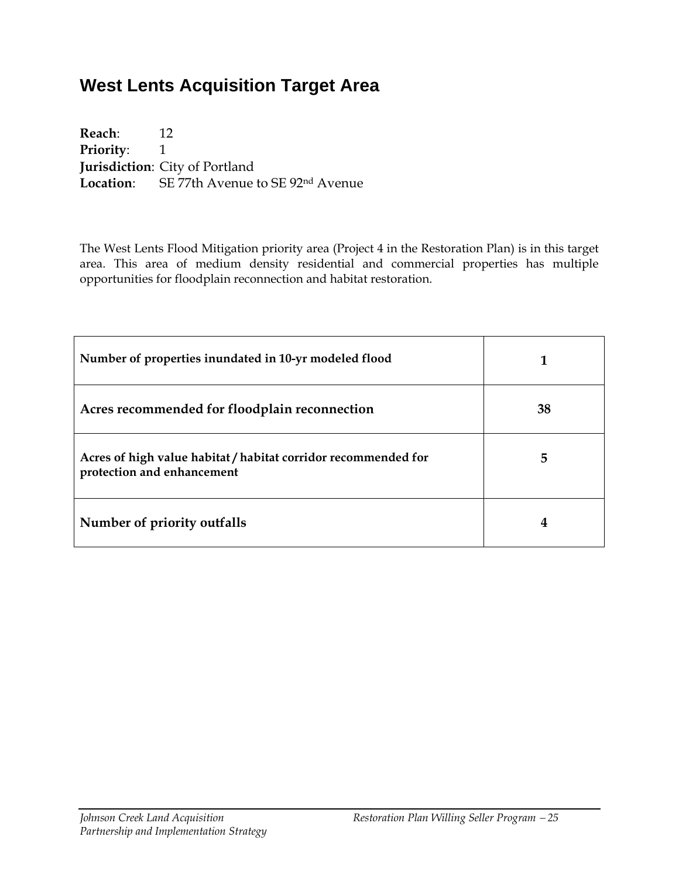# **West Lents Acquisition Target Area**

**Reach**: 12 **Priority:** 1 **Jurisdiction**: City of Portland **Location**: SE 77th Avenue to SE 92nd Avenue

The West Lents Flood Mitigation priority area (Project 4 in the Restoration Plan) is in this target area. This area of medium density residential and commercial properties has multiple opportunities for floodplain reconnection and habitat restoration.

| Number of properties inundated in 10-yr modeled flood                                        |    |
|----------------------------------------------------------------------------------------------|----|
| Acres recommended for floodplain reconnection                                                | 38 |
| Acres of high value habitat / habitat corridor recommended for<br>protection and enhancement | 5  |
| Number of priority outfalls                                                                  | 4  |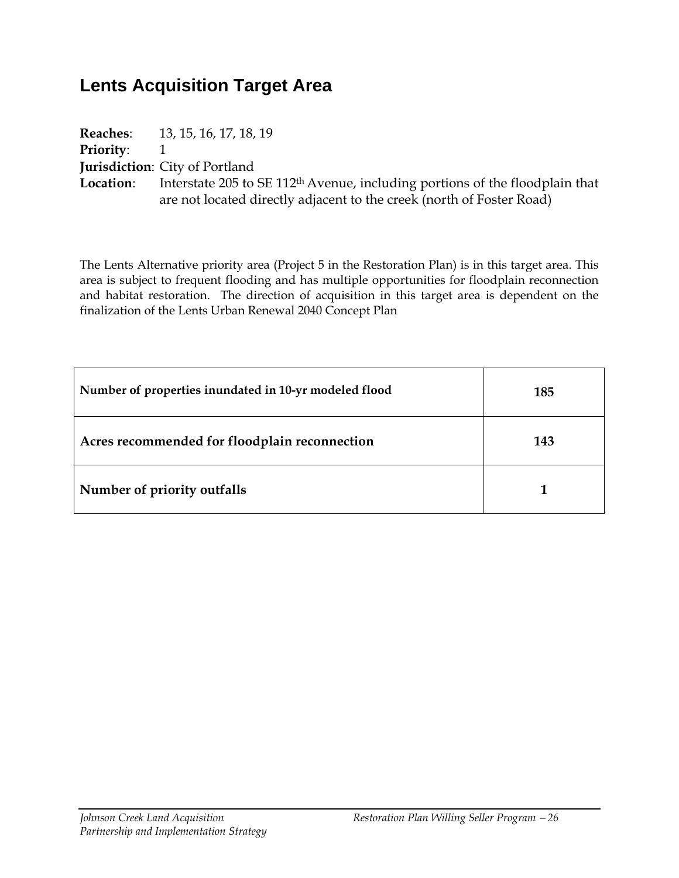# **Lents Acquisition Target Area**

|                  | <b>Reaches:</b> 13, 15, 16, 17, 18, 19                                                   |
|------------------|------------------------------------------------------------------------------------------|
| <b>Priority:</b> |                                                                                          |
|                  | <b>Jurisdiction:</b> City of Portland                                                    |
| Location:        | Interstate 205 to SE 112 <sup>th</sup> Avenue, including portions of the floodplain that |
|                  | are not located directly adjacent to the creek (north of Foster Road)                    |

The Lents Alternative priority area (Project 5 in the Restoration Plan) is in this target area. This area is subject to frequent flooding and has multiple opportunities for floodplain reconnection and habitat restoration. The direction of acquisition in this target area is dependent on the finalization of the Lents Urban Renewal 2040 Concept Plan

| Number of properties inundated in 10-yr modeled flood | 185 |
|-------------------------------------------------------|-----|
| Acres recommended for floodplain reconnection         | 143 |
| Number of priority outfalls                           |     |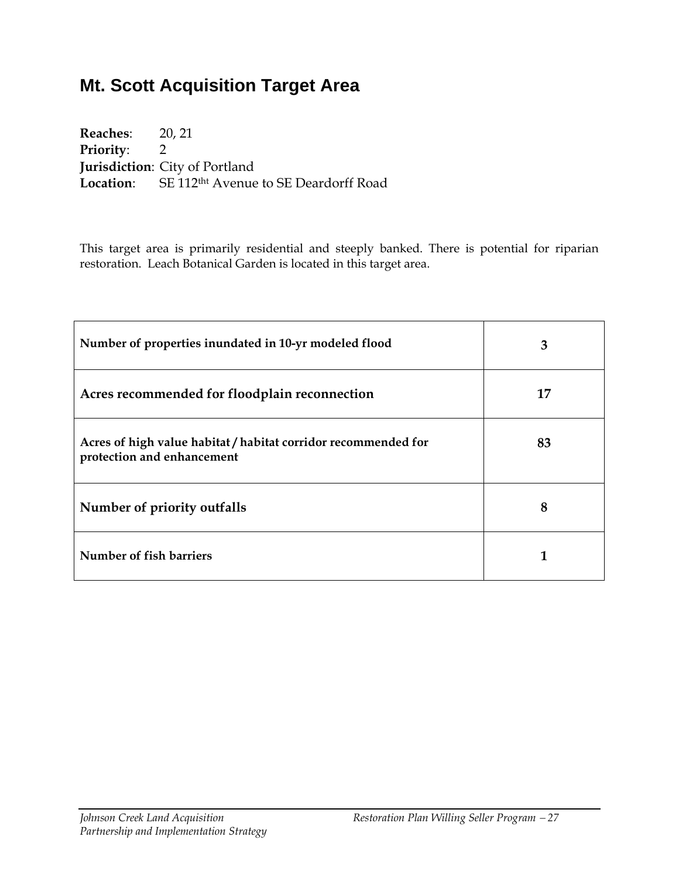# **Mt. Scott Acquisition Target Area**

**Reaches**: 20, 21 **Priority**: 2 **Jurisdiction**: City of Portland Location: SE 112<sup>tht</sup> Avenue to SE Deardorff Road

This target area is primarily residential and steeply banked. There is potential for riparian restoration. Leach Botanical Garden is located in this target area.

| Number of properties inundated in 10-yr modeled flood                                        | 3  |
|----------------------------------------------------------------------------------------------|----|
| Acres recommended for floodplain reconnection                                                | 17 |
| Acres of high value habitat / habitat corridor recommended for<br>protection and enhancement | 83 |
| Number of priority outfalls                                                                  | 8  |
| Number of fish barriers                                                                      |    |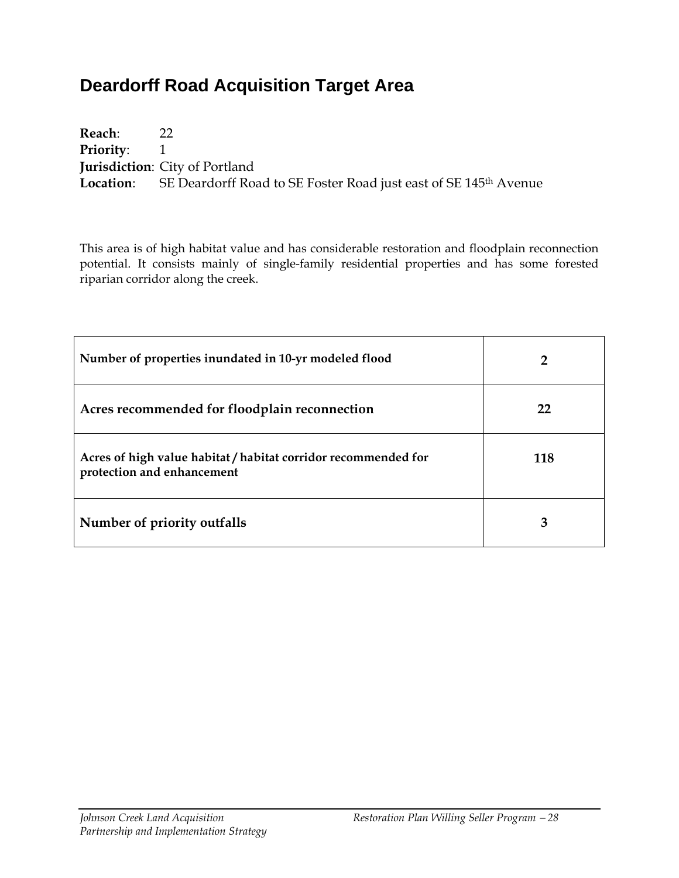# **Deardorff Road Acquisition Target Area**

**Reach**: 22 **Priority:** 1 **Jurisdiction**: City of Portland Location: SE Deardorff Road to SE Foster Road just east of SE 145<sup>th</sup> Avenue

This area is of high habitat value and has considerable restoration and floodplain reconnection potential. It consists mainly of single-family residential properties and has some forested riparian corridor along the creek.

| Number of properties inundated in 10-yr modeled flood                                        |     |
|----------------------------------------------------------------------------------------------|-----|
| Acres recommended for floodplain reconnection                                                | 22  |
| Acres of high value habitat / habitat corridor recommended for<br>protection and enhancement | 118 |
| Number of priority outfalls                                                                  | З   |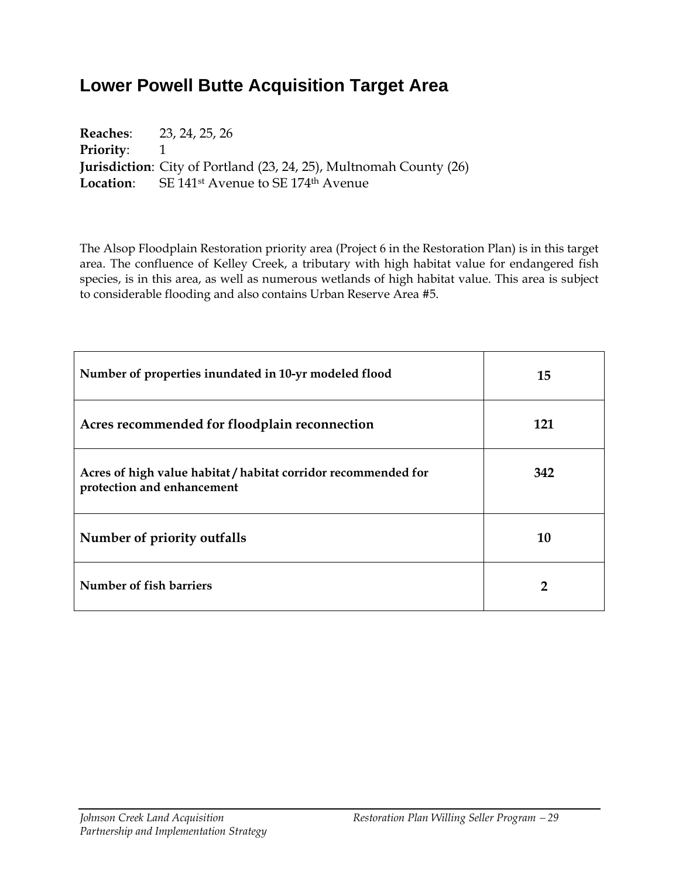# **Lower Powell Butte Acquisition Target Area**

**Reaches**: 23, 24, 25, 26 **Priority:** 1 **Jurisdiction**: City of Portland (23, 24, 25), Multnomah County (26) Location: SE 141<sup>st</sup> Avenue to SE 174<sup>th</sup> Avenue

The Alsop Floodplain Restoration priority area (Project 6 in the Restoration Plan) is in this target area. The confluence of Kelley Creek, a tributary with high habitat value for endangered fish species, is in this area, as well as numerous wetlands of high habitat value. This area is subject to considerable flooding and also contains Urban Reserve Area #5.

| Number of properties inundated in 10-yr modeled flood                                        | 15  |
|----------------------------------------------------------------------------------------------|-----|
| Acres recommended for floodplain reconnection                                                | 121 |
| Acres of high value habitat / habitat corridor recommended for<br>protection and enhancement | 342 |
| Number of priority outfalls                                                                  | 10  |
| Number of fish barriers                                                                      | 2   |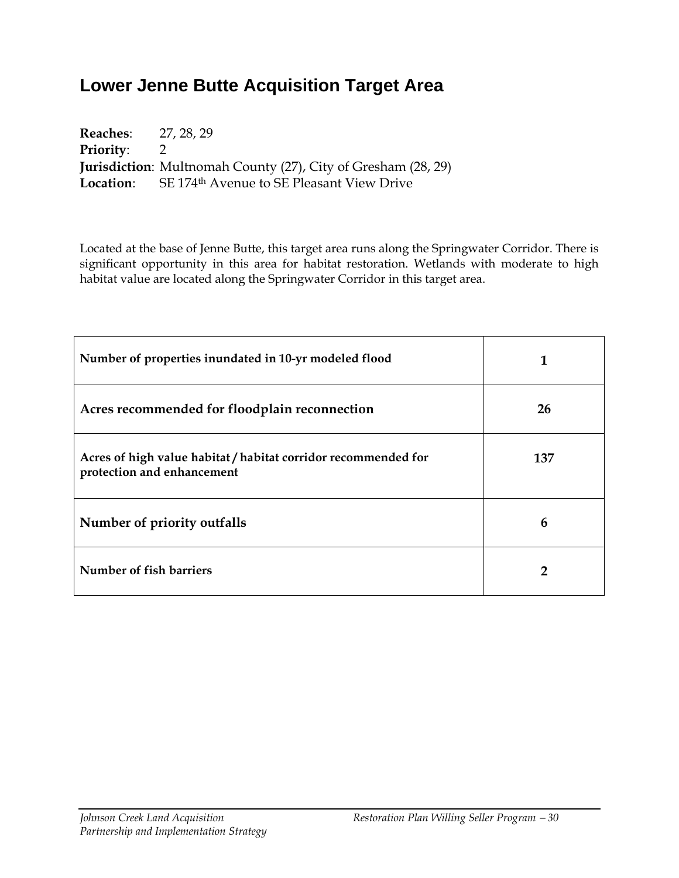# **Lower Jenne Butte Acquisition Target Area**

| <b>Reaches:</b> 27, 28, 29 |                                                                        |
|----------------------------|------------------------------------------------------------------------|
| <b>Priority:</b> 2         |                                                                        |
|                            | <b>Jurisdiction</b> : Multnomah County (27), City of Gresham (28, 29)  |
|                            | <b>Location:</b> SE 174 <sup>th</sup> Avenue to SE Pleasant View Drive |

Located at the base of Jenne Butte, this target area runs along the Springwater Corridor. There is significant opportunity in this area for habitat restoration. Wetlands with moderate to high habitat value are located along the Springwater Corridor in this target area.

| Number of properties inundated in 10-yr modeled flood                                        |     |
|----------------------------------------------------------------------------------------------|-----|
| Acres recommended for floodplain reconnection                                                | 26  |
| Acres of high value habitat / habitat corridor recommended for<br>protection and enhancement | 137 |
| Number of priority outfalls                                                                  | 6   |
| Number of fish barriers                                                                      | 2   |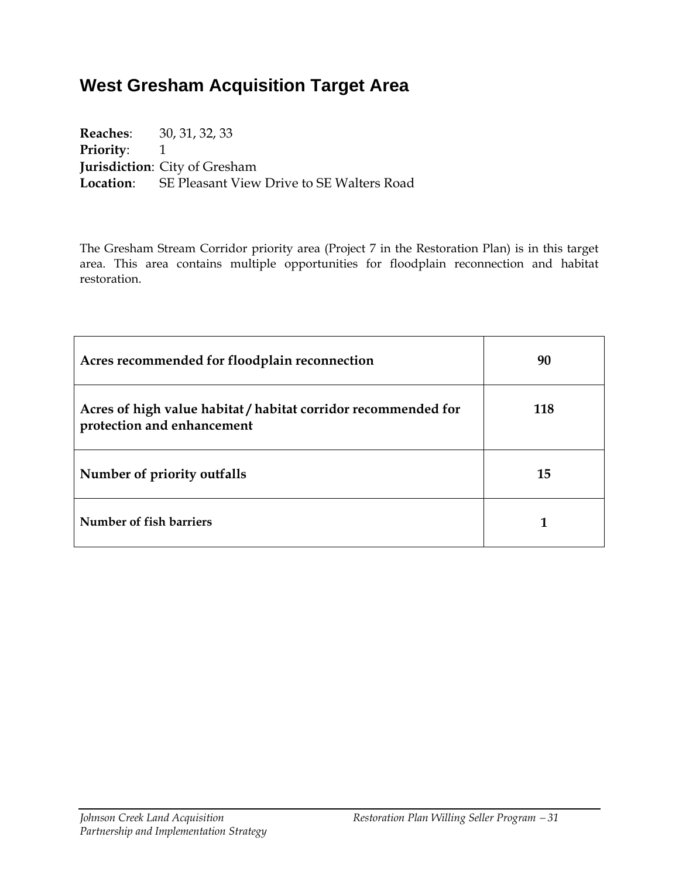# **West Gresham Acquisition Target Area**

**Reaches**: 30, 31, 32, 33 **Priority:** 1 **Jurisdiction**: City of Gresham **Location**: SE Pleasant View Drive to SE Walters Road

The Gresham Stream Corridor priority area (Project 7 in the Restoration Plan) is in this target area. This area contains multiple opportunities for floodplain reconnection and habitat restoration.

| Acres recommended for floodplain reconnection                                                | 90  |
|----------------------------------------------------------------------------------------------|-----|
| Acres of high value habitat / habitat corridor recommended for<br>protection and enhancement | 118 |
| Number of priority outfalls                                                                  | 15  |
| Number of fish barriers                                                                      |     |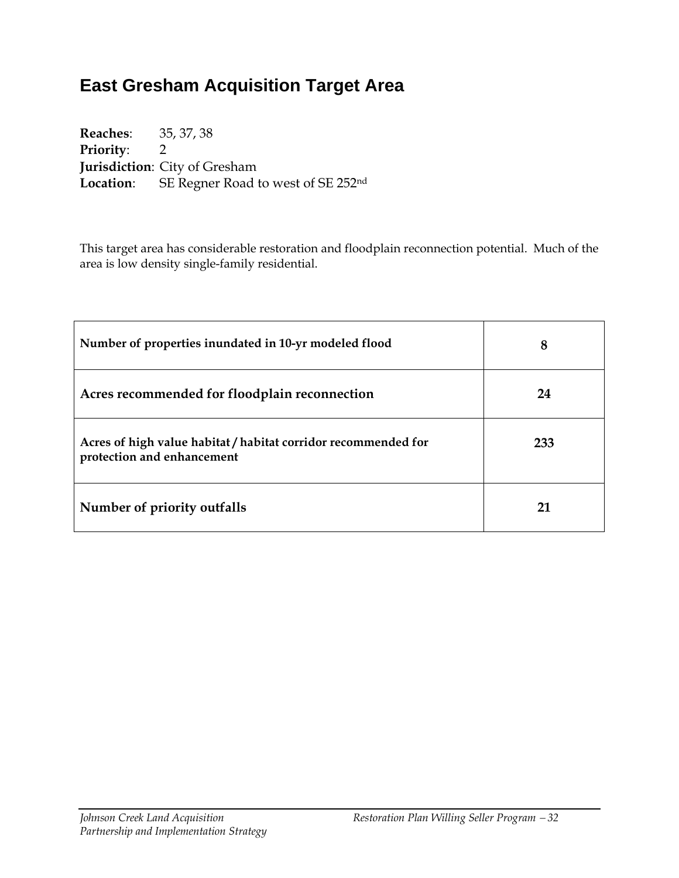# **East Gresham Acquisition Target Area**

**Reaches**: 35, 37, 38 **Priority**: 2 **Jurisdiction**: City of Gresham **Location**: SE Regner Road to west of SE 252nd

This target area has considerable restoration and floodplain reconnection potential. Much of the area is low density single-family residential.

| Number of properties inundated in 10-yr modeled flood                                        | 8   |  |
|----------------------------------------------------------------------------------------------|-----|--|
| Acres recommended for floodplain reconnection                                                | 24  |  |
| Acres of high value habitat / habitat corridor recommended for<br>protection and enhancement | 233 |  |
| Number of priority outfalls                                                                  | 21  |  |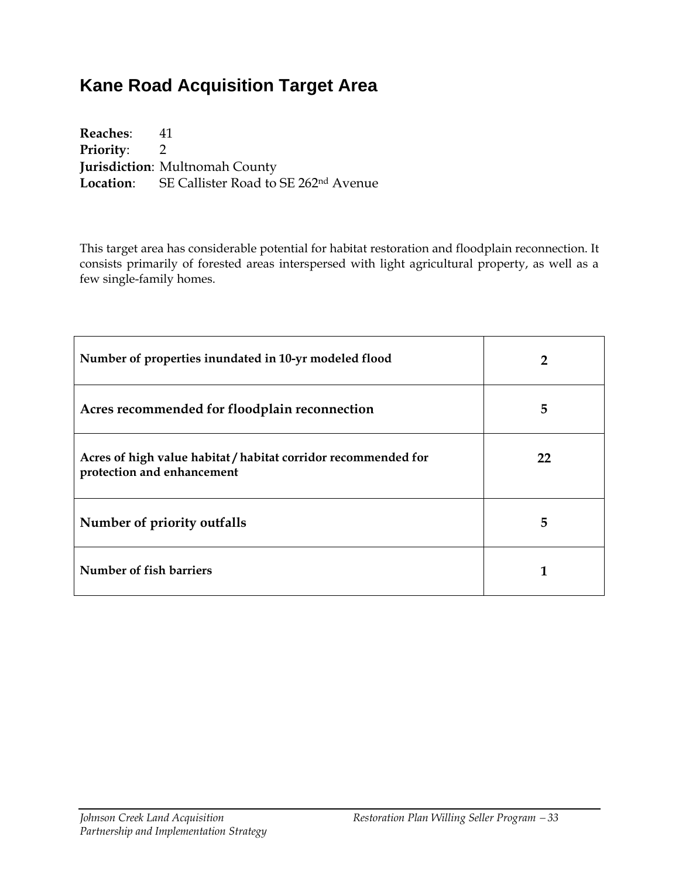# **Kane Road Acquisition Target Area**

**Reaches**: 41 **Priority**: 2 **Jurisdiction**: Multnomah County **Location**: SE Callister Road to SE 262nd Avenue

This target area has considerable potential for habitat restoration and floodplain reconnection. It consists primarily of forested areas interspersed with light agricultural property, as well as a few single-family homes.

| Number of properties inundated in 10-yr modeled flood                                        | 2  |  |  |
|----------------------------------------------------------------------------------------------|----|--|--|
| Acres recommended for floodplain reconnection                                                | 5  |  |  |
| Acres of high value habitat / habitat corridor recommended for<br>protection and enhancement | 22 |  |  |
| Number of priority outfalls                                                                  | 5  |  |  |
| Number of fish barriers                                                                      |    |  |  |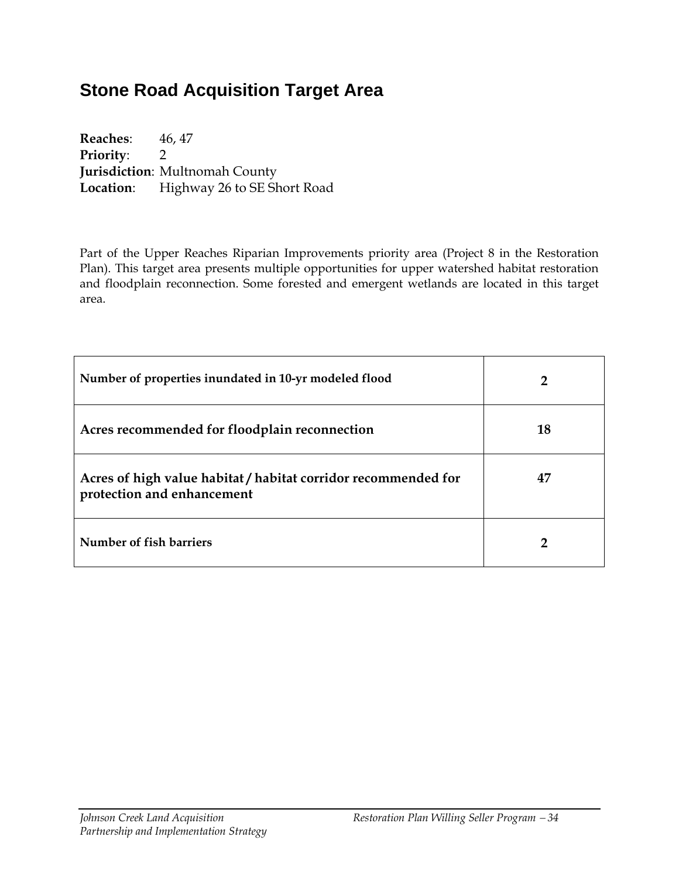# **Stone Road Acquisition Target Area**

**Reaches**: 46, 47 **Priority**: 2 **Jurisdiction**: Multnomah County Location: Highway 26 to SE Short Road

Part of the Upper Reaches Riparian Improvements priority area (Project 8 in the Restoration Plan). This target area presents multiple opportunities for upper watershed habitat restoration and floodplain reconnection. Some forested and emergent wetlands are located in this target area.

| Number of properties inundated in 10-yr modeled flood                                        | $\overline{2}$ |
|----------------------------------------------------------------------------------------------|----------------|
| Acres recommended for floodplain reconnection                                                | 18             |
| Acres of high value habitat / habitat corridor recommended for<br>protection and enhancement | 47             |
| Number of fish barriers                                                                      |                |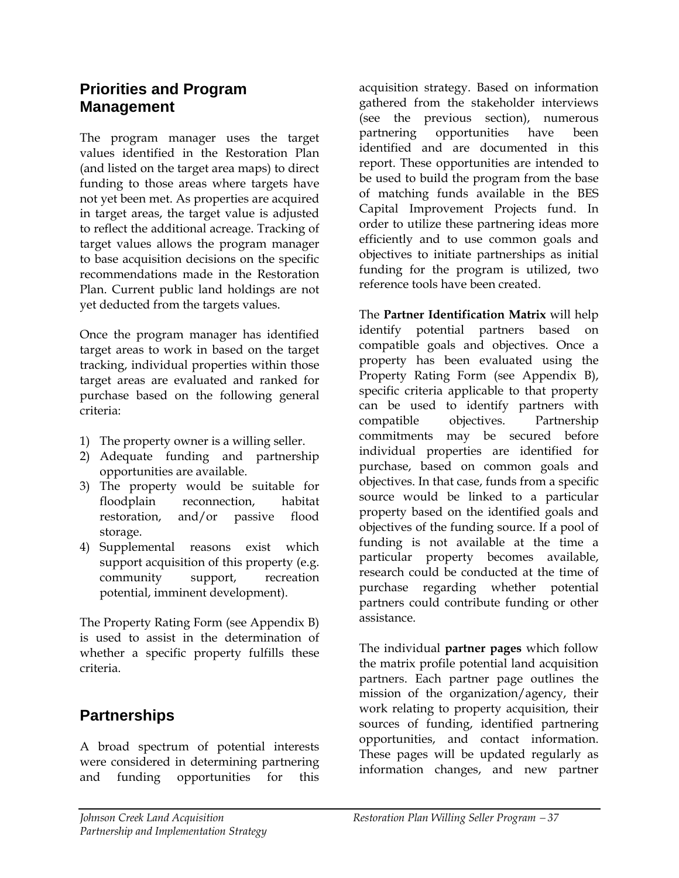### **Priorities and Program Management**

The program manager uses the target values identified in the Restoration Plan (and listed on the target area maps) to direct funding to those areas where targets have not yet been met. As properties are acquired in target areas, the target value is adjusted to reflect the additional acreage. Tracking of target values allows the program manager to base acquisition decisions on the specific recommendations made in the Restoration Plan. Current public land holdings are not yet deducted from the targets values.

Once the program manager has identified target areas to work in based on the target tracking, individual properties within those target areas are evaluated and ranked for purchase based on the following general criteria:

- 1) The property owner is a willing seller.
- 2) Adequate funding and partnership opportunities are available.
- 3) The property would be suitable for floodplain reconnection, habitat restoration, and/or passive flood storage.
- 4) Supplemental reasons exist which support acquisition of this property (e.g. community support, recreation potential, imminent development).

The Property Rating Form (see Appendix B) is used to assist in the determination of whether a specific property fulfills these criteria.

# **Partnerships**

A broad spectrum of potential interests were considered in determining partnering and funding opportunities for this

acquisition strategy. Based on information gathered from the stakeholder interviews (see the previous section), numerous partnering opportunities have been identified and are documented in this report. These opportunities are intended to be used to build the program from the base of matching funds available in the BES Capital Improvement Projects fund. In order to utilize these partnering ideas more efficiently and to use common goals and objectives to initiate partnerships as initial funding for the program is utilized, two reference tools have been created.

The **Partner Identification Matrix** will help identify potential partners based on compatible goals and objectives. Once a property has been evaluated using the Property Rating Form (see Appendix B), specific criteria applicable to that property can be used to identify partners with compatible objectives. Partnership commitments may be secured before individual properties are identified for purchase, based on common goals and objectives. In that case, funds from a specific source would be linked to a particular property based on the identified goals and objectives of the funding source. If a pool of funding is not available at the time a particular property becomes available, research could be conducted at the time of purchase regarding whether potential partners could contribute funding or other assistance.

The individual **partner pages** which follow the matrix profile potential land acquisition partners. Each partner page outlines the mission of the organization/agency, their work relating to property acquisition, their sources of funding, identified partnering opportunities, and contact information. These pages will be updated regularly as information changes, and new partner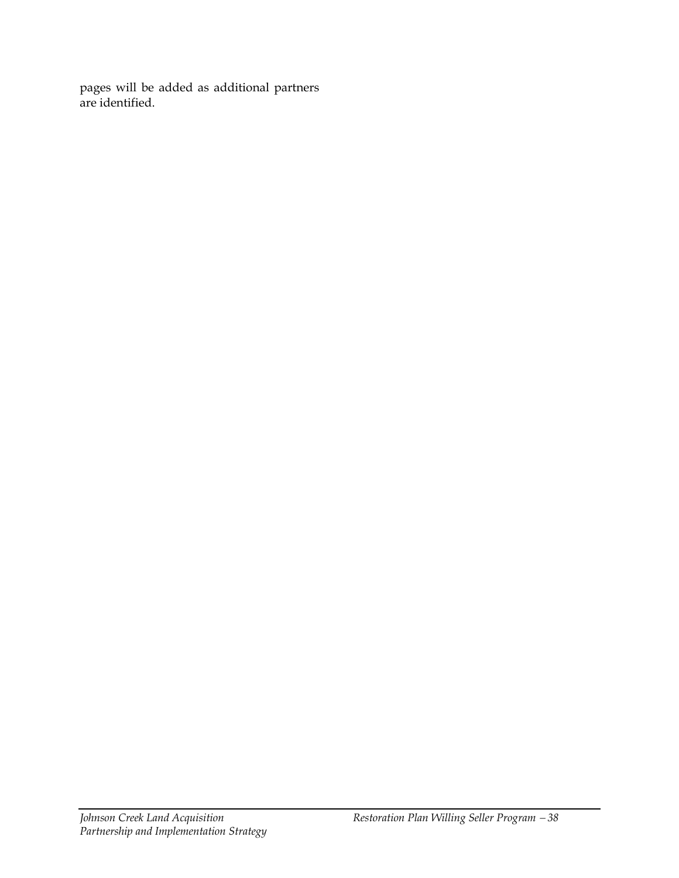pages will be added as additional partners are identified.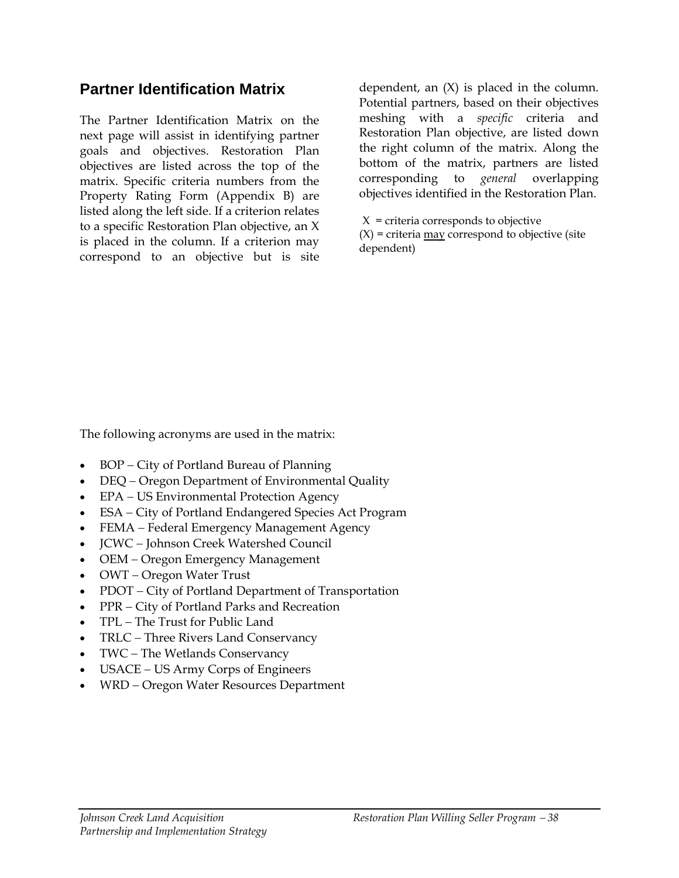### **Partner Identification Matrix**

The Partner Identification Matrix on the next page will assist in identifying partner goals and objectives. Restoration Plan objectives are listed across the top of the matrix. Specific criteria numbers from the Property Rating Form (Appendix B) are listed along the left side. If a criterion relates to a specific Restoration Plan objective, an X is placed in the column. If a criterion may correspond to an objective but is site

dependent, an (X) is placed in the column. Potential partners, based on their objectives meshing with a *specific* criteria and Restoration Plan objective, are listed down the right column of the matrix. Along the bottom of the matrix, partners are listed corresponding to *general* overlapping objectives identified in the Restoration Plan.

 $X =$  criteria corresponds to objective  $(X)$  = criteria  $\frac{\text{max}}{\text{correspond}}$  to objective (site dependent)

The following acronyms are used in the matrix:

- BOP − City of Portland Bureau of Planning
- DEQ − Oregon Department of Environmental Quality
- EPA − US Environmental Protection Agency
- ESA − City of Portland Endangered Species Act Program
- FEMA − Federal Emergency Management Agency
- JCWC − Johnson Creek Watershed Council
- OEM − Oregon Emergency Management
- OWT − Oregon Water Trust
- PDOT − City of Portland Department of Transportation
- PPR − City of Portland Parks and Recreation
- TPL − The Trust for Public Land
- TRLC − Three Rivers Land Conservancy
- TWC − The Wetlands Conservancy
- USACE − US Army Corps of Engineers
- WRD − Oregon Water Resources Department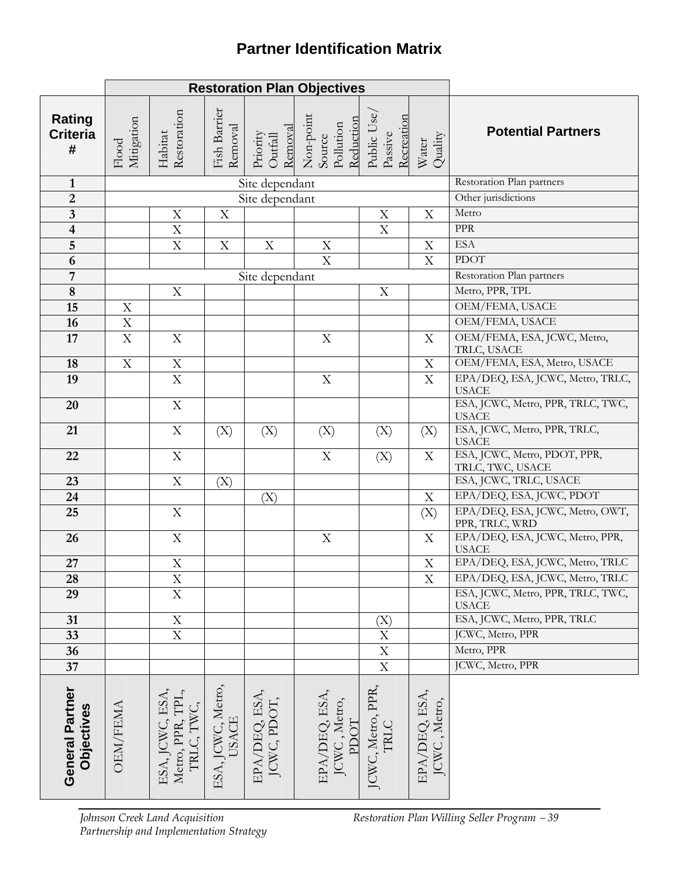# **Partner Identification Matrix**

|                                       | <b>Restoration Plan Objectives</b> |                                                   |                                   |                              |                                                                                 |                                      |                               |                                                   |
|---------------------------------------|------------------------------------|---------------------------------------------------|-----------------------------------|------------------------------|---------------------------------------------------------------------------------|--------------------------------------|-------------------------------|---------------------------------------------------|
| <b>Rating</b><br><b>Criteria</b><br># | Mitigation<br>${\rm Flood}$        | Restoration<br>Habitat                            | Fish Barrier<br>Removal           |                              | Priority<br>Outfall<br>Removal<br>Non-point<br>Source<br>Pollution<br>Reduction | Public Use,<br>Recreation<br>Passive | Quality<br>Water              | <b>Potential Partners</b>                         |
| $\mathbf{1}$                          |                                    |                                                   |                                   | Site dependant               |                                                                                 |                                      |                               | Restoration Plan partners                         |
| $\overline{2}$                        |                                    |                                                   |                                   | Site dependant               |                                                                                 |                                      |                               | Other jurisdictions                               |
| $\overline{\mathbf{3}}$               |                                    | X                                                 | X                                 |                              |                                                                                 | X                                    | $\mathbf X$                   | Metro                                             |
| $\overline{\mathbf{4}}$               |                                    | $\overline{\mathrm{X}}$                           |                                   |                              |                                                                                 | $\overline{X}$                       |                               | <b>PPR</b>                                        |
| $\overline{5}$                        |                                    | $\mathbf X$                                       | $\mathbf X$                       | $\mathbf X$                  | $\mathbf X$                                                                     |                                      | $\mathbf X$                   | <b>ESA</b>                                        |
| $\overline{6}$                        |                                    |                                                   |                                   |                              | $\mathbf X$                                                                     |                                      | $\boldsymbol{\mathrm{X}}$     | <b>PDOT</b>                                       |
| $\overline{7}$                        |                                    |                                                   |                                   | Site dependant               |                                                                                 |                                      |                               | Restoration Plan partners                         |
| $\bf{8}$                              |                                    | $\mathbf X$                                       |                                   |                              |                                                                                 | X                                    |                               | Metro, PPR, TPL                                   |
| 15                                    | $\mathbf X$                        |                                                   |                                   |                              |                                                                                 |                                      |                               | OEM/FEMA, USACE                                   |
| 16                                    | $\mathbf X$                        |                                                   |                                   |                              |                                                                                 |                                      |                               | OEM/FEMA, USACE                                   |
| 17                                    | X                                  | $\mathbf X$                                       |                                   |                              | $\mathbf X$                                                                     |                                      | $\boldsymbol{\mathrm{X}}$     | OEM/FEMA, ESA, JCWC, Metro,<br>TRLC, USACE        |
| 18                                    | $\mathbf X$                        | $\mathbf X$                                       |                                   |                              |                                                                                 |                                      | $\mathbf X$                   | OEM/FEMA, ESA, Metro, USACE                       |
| 19                                    |                                    | $\overline{X}$                                    |                                   |                              | $\mathbf X$                                                                     |                                      | $\overline{\mathrm{X}}$       | EPA/DEQ, ESA, JCWC, Metro, TRLC,<br><b>USACE</b>  |
| 20                                    |                                    | $\mathbf X$                                       |                                   |                              |                                                                                 |                                      |                               | ESA, JCWC, Metro, PPR, TRLC, TWC,<br><b>USACE</b> |
| 21                                    |                                    | $\mathbf X$                                       | (X)                               | (X)                          | (X)                                                                             | (X)                                  | (X)                           | ESA, JCWC, Metro, PPR, TRLC,<br><b>USACE</b>      |
| 22                                    |                                    | $\mathbf X$                                       |                                   |                              | $\mathbf X$                                                                     | (X)                                  | X                             | ESA, JCWC, Metro, PDOT, PPR,<br>TRLC, TWC, USACE  |
| 23                                    |                                    | $\mathbf X$                                       | (X)                               |                              |                                                                                 |                                      |                               | ESA, JCWC, TRLC, USACE                            |
| 24                                    |                                    |                                                   |                                   | (X)                          |                                                                                 |                                      | $\mathbf X$                   | EPA/DEQ, ESA, JCWC, PDOT                          |
| 25                                    |                                    | $\mathbf X$                                       |                                   |                              |                                                                                 |                                      | (X)                           | EPA/DEQ, ESA, JCWC, Metro, OWT,<br>PPR, TRLC, WRD |
| 26                                    |                                    | $\mathbf X$                                       |                                   |                              | $\mathbf X$                                                                     |                                      | X                             | EPA/DEQ, ESA, JCWC, Metro, PPR,<br><b>USACE</b>   |
| 27                                    |                                    | $\rm X$                                           |                                   |                              |                                                                                 |                                      | $\mathbf X$                   | EPA/DEQ, ESA, JCWC, Metro, TRLC                   |
| $\overline{28}$                       |                                    | $\overline{X}$                                    |                                   |                              |                                                                                 |                                      | $\overline{X}$                | EPA/DEQ, ESA, JCWC, Metro, TRLC                   |
| 29                                    |                                    | $\overline{X}$                                    |                                   |                              |                                                                                 |                                      |                               | ESA, JCWC, Metro, PPR, TRLC, TWC,<br><b>USACE</b> |
| 31                                    |                                    | $\mathbf X$                                       |                                   |                              |                                                                                 | (X)                                  |                               | ESA, JCWC, Metro, PPR, TRLC                       |
| 33                                    |                                    | $\overline{X}$                                    |                                   |                              |                                                                                 | $\overline{\mathrm{x}}$              |                               | JCWC, Metro, PPR                                  |
| 36                                    |                                    |                                                   |                                   |                              |                                                                                 | $\frac{\text{X}}{\text{X}}$          |                               | Metro, PPR                                        |
| $37\,$                                |                                    |                                                   |                                   |                              |                                                                                 |                                      |                               | JCWC, Metro, PPR                                  |
| General Partner<br>Objectives         | <b>OEM/FEMA</b>                    | ESA, JCWC, ESA,<br>Metro, PPR, TPL,<br>TRLC, TWC, | ESA, JCWC, Metro,<br><b>USACE</b> | EPA/DEQ, ESA,<br>JCWC, PDOT, | EPA/DEQ, ESA,<br>JCWC, Metro,<br>PDOT                                           | JCWC, Metro, PPR,<br><b>TRLC</b>     | EPA/DEQ, ESA,<br>JCWC, Metro, |                                                   |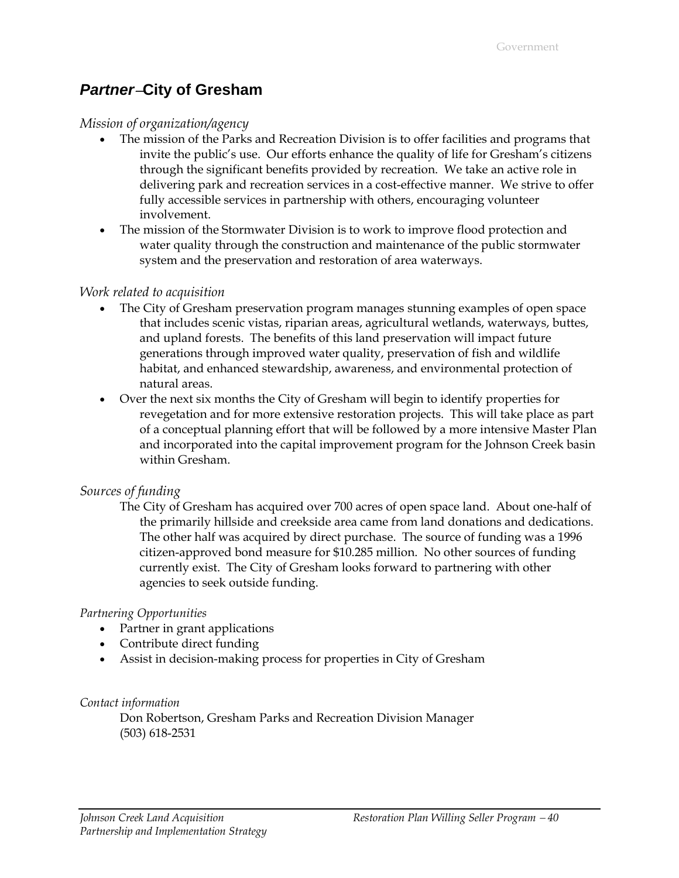### *Partner*−**City of Gresham**

#### *Mission of organization/agency*

- The mission of the Parks and Recreation Division is to offer facilities and programs that invite the public's use. Our efforts enhance the quality of life for Gresham's citizens through the significant benefits provided by recreation. We take an active role in delivering park and recreation services in a cost-effective manner. We strive to offer fully accessible services in partnership with others, encouraging volunteer involvement.
- The mission of the Stormwater Division is to work to improve flood protection and water quality through the construction and maintenance of the public stormwater system and the preservation and restoration of area waterways.

#### *Work related to acquisition*

- The City of Gresham preservation program manages stunning examples of open space that includes scenic vistas, riparian areas, agricultural wetlands, waterways, buttes, and upland forests. The benefits of this land preservation will impact future generations through improved water quality, preservation of fish and wildlife habitat, and enhanced stewardship, awareness, and environmental protection of natural areas.
- Over the next six months the City of Gresham will begin to identify properties for revegetation and for more extensive restoration projects. This will take place as part of a conceptual planning effort that will be followed by a more intensive Master Plan and incorporated into the capital improvement program for the Johnson Creek basin within Gresham.

#### *Sources of funding*

The City of Gresham has acquired over 700 acres of open space land. About one-half of the primarily hillside and creekside area came from land donations and dedications. The other half was acquired by direct purchase. The source of funding was a 1996 citizen-approved bond measure for \$10.285 million. No other sources of funding currently exist. The City of Gresham looks forward to partnering with other agencies to seek outside funding.

#### *Partnering Opportunities*

- Partner in grant applications
- Contribute direct funding
- Assist in decision-making process for properties in City of Gresham

#### *Contact information*

Don Robertson, Gresham Parks and Recreation Division Manager (503) 618-2531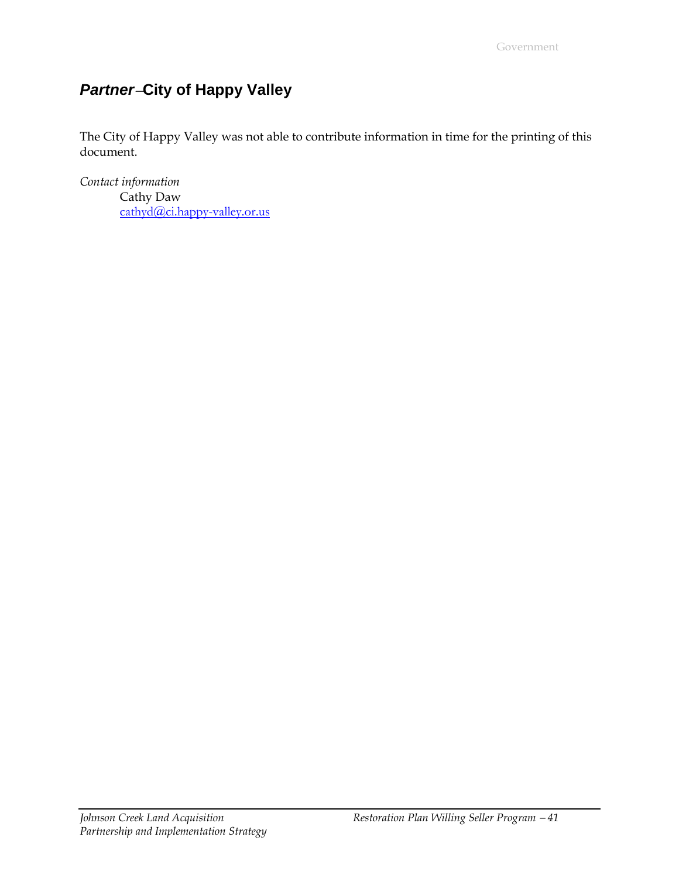# *Partner*−**City of Happy Valley**

The City of Happy Valley was not able to contribute information in time for the printing of this document.

*Contact information*  Cathy Daw [cathyd@ci.happy-valley.or.us](mailto:cathyd@ci.happy-valley.or.us)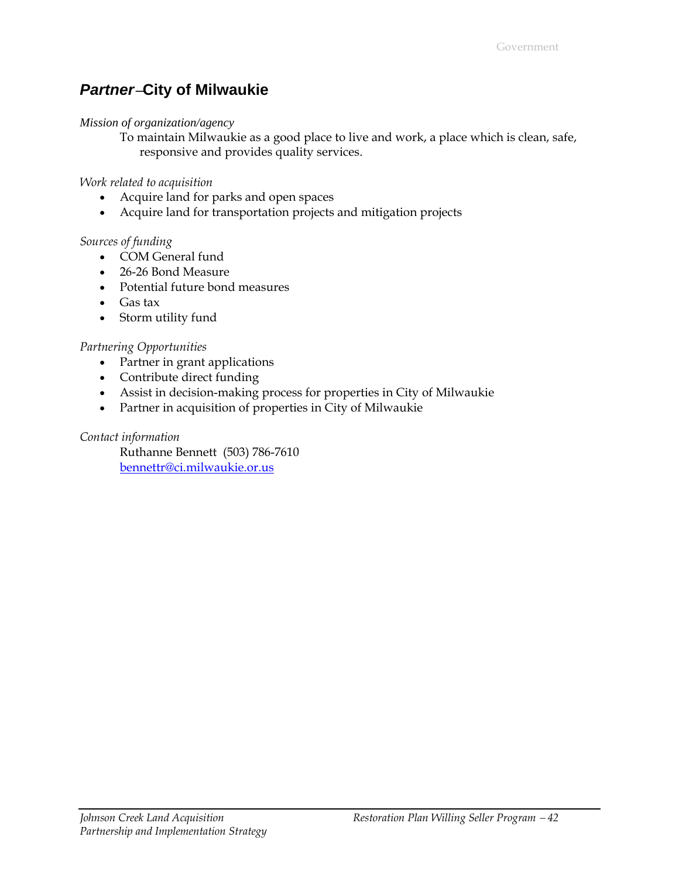### *Partner*−**City of Milwaukie**

#### *Mission of organization/agency*

To maintain Milwaukie as a good place to live and work, a place which is clean, safe, responsive and provides quality services.

*Work related to acquisition*

- Acquire land for parks and open spaces
- Acquire land for transportation projects and mitigation projects

#### *Sources of funding*

- COM General fund
- 26-26 Bond Measure
- Potential future bond measures
- Gas tax
- Storm utility fund

#### *Partnering Opportunities*

- Partner in grant applications
- Contribute direct funding
- Assist in decision-making process for properties in City of Milwaukie
- Partner in acquisition of properties in City of Milwaukie

#### *Contact information*

Ruthanne Bennett (503) 786-7610 [bennettr@ci.milwaukie.or.us](mailto:bennettr@ci.milwaukie.or.us)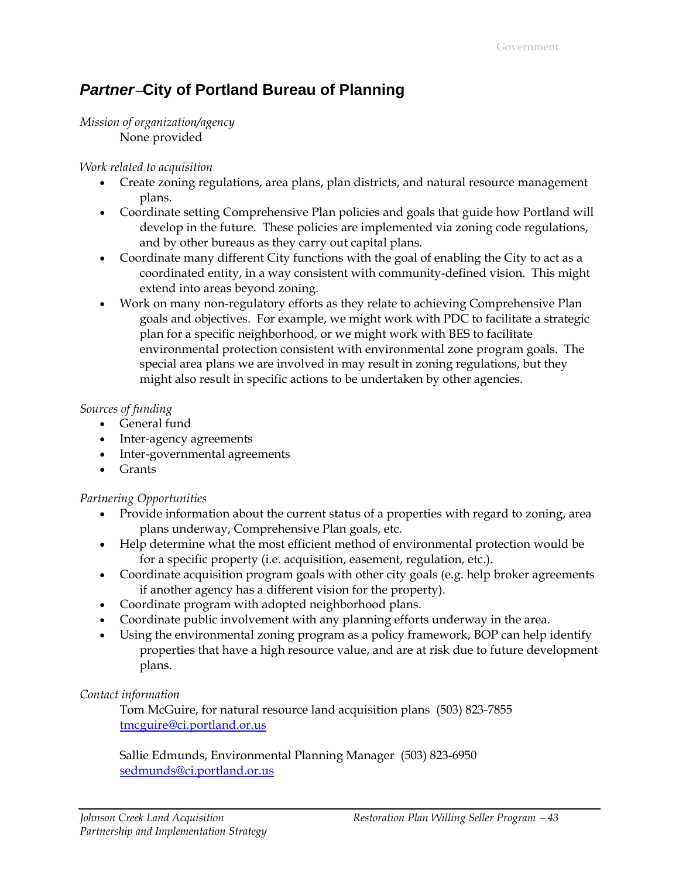### *Partner*−**City of Portland Bureau of Planning**

#### *Mission of organization/agency*  None provided

#### *Work related to acquisition*

- Create zoning regulations, area plans, plan districts, and natural resource management plans.
- Coordinate setting Comprehensive Plan policies and goals that guide how Portland will develop in the future. These policies are implemented via zoning code regulations, and by other bureaus as they carry out capital plans.
- Coordinate many different City functions with the goal of enabling the City to act as a coordinated entity, in a way consistent with community-defined vision. This might extend into areas beyond zoning.
- Work on many non-regulatory efforts as they relate to achieving Comprehensive Plan goals and objectives. For example, we might work with PDC to facilitate a strategic plan for a specific neighborhood, or we might work with BES to facilitate environmental protection consistent with environmental zone program goals. The special area plans we are involved in may result in zoning regulations, but they might also result in specific actions to be undertaken by other agencies.

#### *Sources of funding*

- General fund
- Inter-agency agreements
- Inter-governmental agreements
- Grants

#### *Partnering Opportunities*

- Provide information about the current status of a properties with regard to zoning, area plans underway, Comprehensive Plan goals, etc.
- Help determine what the most efficient method of environmental protection would be for a specific property (i.e. acquisition, easement, regulation, etc.).
- Coordinate acquisition program goals with other city goals (e.g. help broker agreements if another agency has a different vision for the property).
- Coordinate program with adopted neighborhood plans.
- Coordinate public involvement with any planning efforts underway in the area.
- Using the environmental zoning program as a policy framework, BOP can help identify properties that have a high resource value, and are at risk due to future development plans.

#### *Contact information*

Tom McGuire, for natural resource land acquisition plans (503) 823-7855 [tmcguire@ci.portland.or.us](mailto:Tmcguire@ci.portland.or.us)

Sallie Edmunds, Environmental Planning Manager (503) 823-6950 [sedmunds@ci.portland.or.us](mailto:Sedmunds@ci.portland.or.us)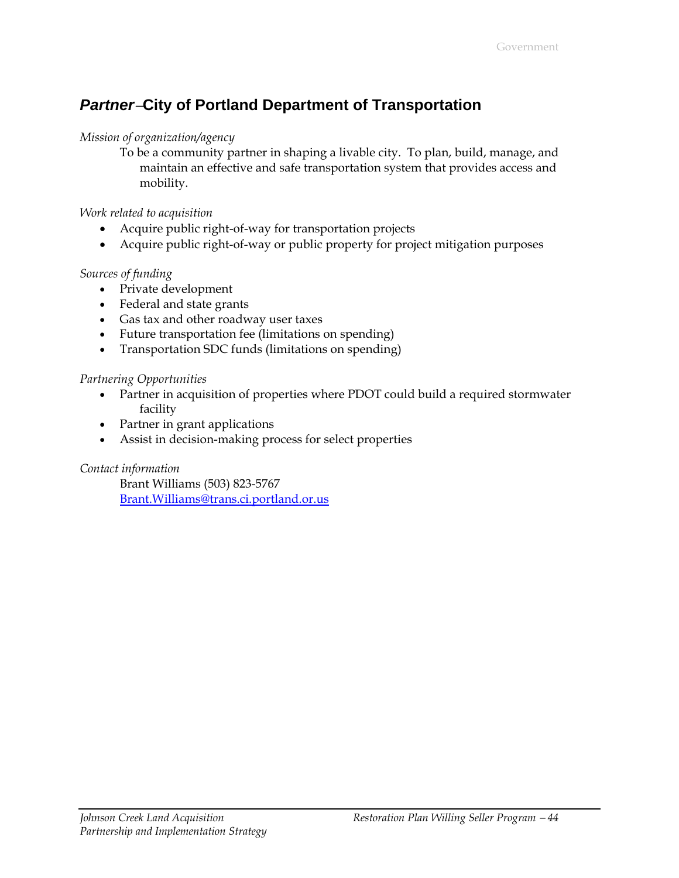# *Partner*−**City of Portland Department of Transportation**

#### *Mission of organization/agency*

To be a community partner in shaping a livable city. To plan, build, manage, and maintain an effective and safe transportation system that provides access and mobility.

#### *Work related to acquisition*

- Acquire public right-of-way for transportation projects
- Acquire public right-of-way or public property for project mitigation purposes

#### *Sources of funding*

- Private development
- Federal and state grants
- Gas tax and other roadway user taxes
- Future transportation fee (limitations on spending)
- Transportation SDC funds (limitations on spending)

#### *Partnering Opportunities*

- Partner in acquisition of properties where PDOT could build a required stormwater facility
- Partner in grant applications
- Assist in decision-making process for select properties

#### *Contact information*

Brant Williams (503) 823-5767 [Brant.Williams@trans.ci.portland.or.us](mailto:Brant.Williams@trans.ci.portland.or.us)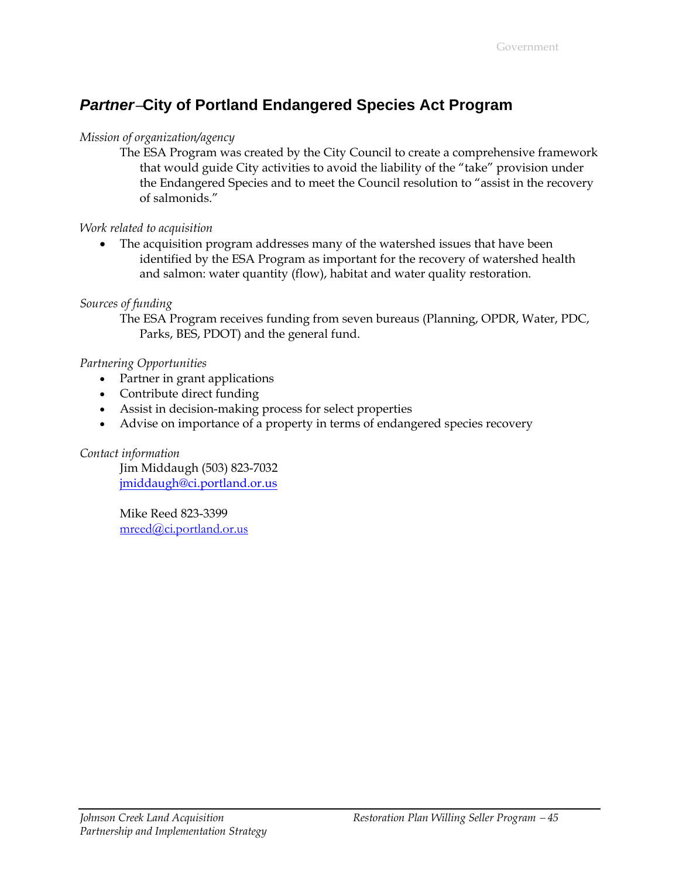# *Partner*−**City of Portland Endangered Species Act Program**

#### *Mission of organization/agency*

The ESA Program was created by the City Council to create a comprehensive framework that would guide City activities to avoid the liability of the "take" provision under the Endangered Species and to meet the Council resolution to "assist in the recovery of salmonids."

#### *Work related to acquisition*

• The acquisition program addresses many of the watershed issues that have been identified by the ESA Program as important for the recovery of watershed health and salmon: water quantity (flow), habitat and water quality restoration.

#### *Sources of funding*

The ESA Program receives funding from seven bureaus (Planning, OPDR, Water, PDC, Parks, BES, PDOT) and the general fund.

#### *Partnering Opportunities*

- Partner in grant applications
- Contribute direct funding
- Assist in decision-making process for select properties
- Advise on importance of a property in terms of endangered species recovery

#### *Contact information*

Jim Middaugh (503) 823-7032 [jmiddaugh@ci.portland.or.us](mailto:jmiddaugh@ci.portland.or.us)

Mike Reed 823-3399 [mreed@ci.portland.or.us](mailto:mreed@ci.portland.or.us)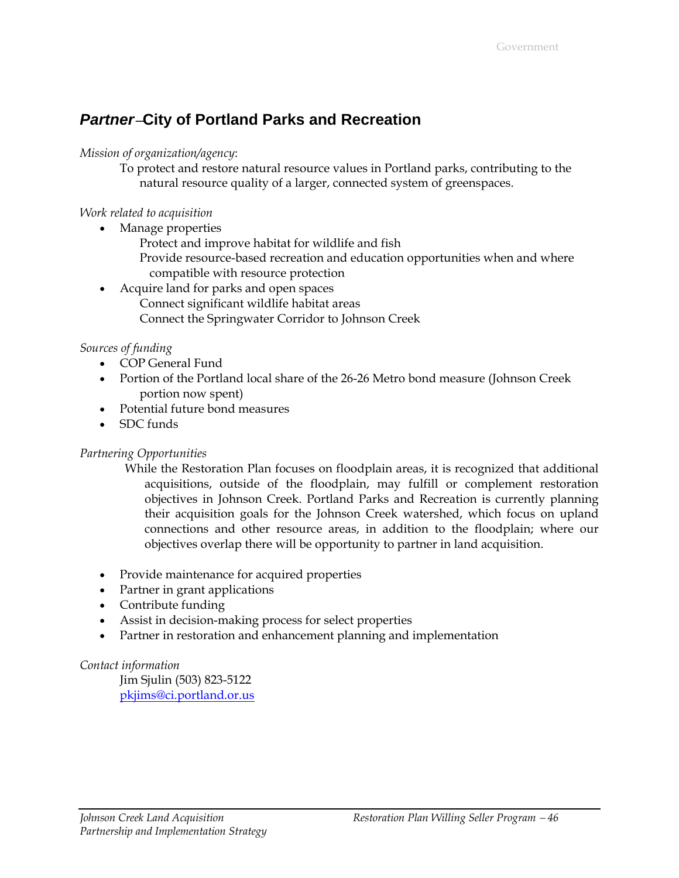### *Partner*−**City of Portland Parks and Recreation**

#### *Mission of organization/agency*:

To protect and restore natural resource values in Portland parks, contributing to the natural resource quality of a larger, connected system of greenspaces.

#### *Work related to acquisition*

- Manage properties
	- Protect and improve habitat for wildlife and fish
	- Provide resource-based recreation and education opportunities when and where compatible with resource protection
- Acquire land for parks and open spaces Connect significant wildlife habitat areas Connect the Springwater Corridor to Johnson Creek

#### *Sources of funding*

- COP General Fund
- Portion of the Portland local share of the 26-26 Metro bond measure (Johnson Creek portion now spent)
- Potential future bond measures
- SDC funds

#### *Partnering Opportunities*

- While the Restoration Plan focuses on floodplain areas, it is recognized that additional acquisitions, outside of the floodplain, may fulfill or complement restoration objectives in Johnson Creek. Portland Parks and Recreation is currently planning their acquisition goals for the Johnson Creek watershed, which focus on upland connections and other resource areas, in addition to the floodplain; where our objectives overlap there will be opportunity to partner in land acquisition.
- Provide maintenance for acquired properties
- Partner in grant applications
- Contribute funding
- Assist in decision-making process for select properties
- Partner in restoration and enhancement planning and implementation

#### *Contact information*

Jim Sjulin (503) 823-5122 [pkjims@ci.portland.or.us](mailto:pkjims@ci.portland.or.us)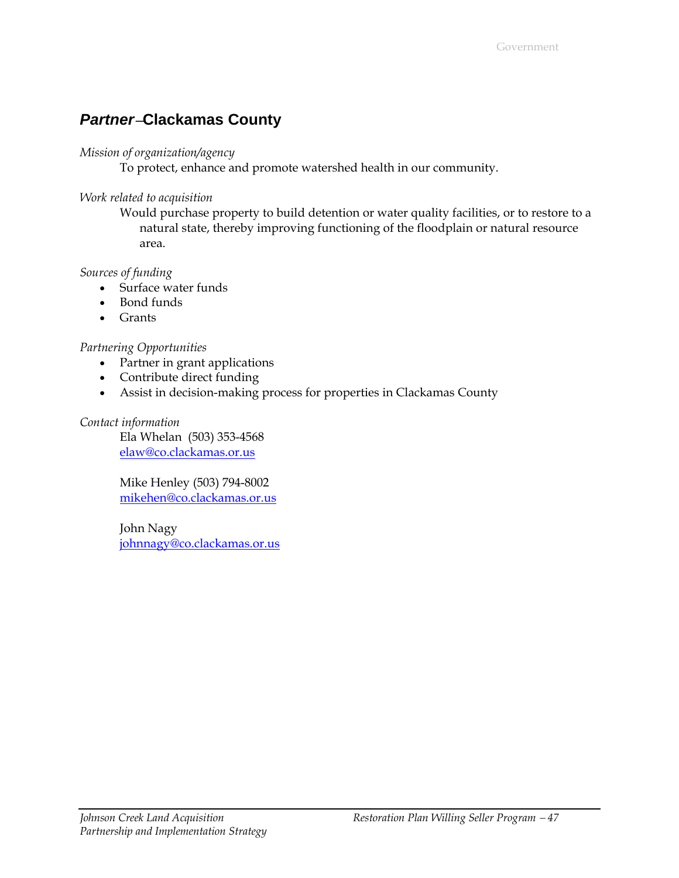### *Partner*−**Clackamas County**

#### *Mission of organization/agency*

To protect, enhance and promote watershed health in our community.

#### *Work related to acquisition*

Would purchase property to build detention or water quality facilities, or to restore to a natural state, thereby improving functioning of the floodplain or natural resource area.

#### *Sources of funding*

- Surface water funds
- Bond funds
- Grants

#### *Partnering Opportunities*

- Partner in grant applications
- Contribute direct funding
- Assist in decision-making process for properties in Clackamas County

#### *Contact information*

Ela Whelan (503) 353-4568 [elaw@co.clackamas.or.us](mailto:Elaw@utilpo.co.clackamas.or.us)

Mike Henley (503) 794-8002 [mikehen@co.clackamas.or.us](mailto:Mikehen@co.clackamas.or.us)

John Nagy [johnnagy@co.clackamas.or.us](mailto:Johnnagy@co.clackamas.or.us)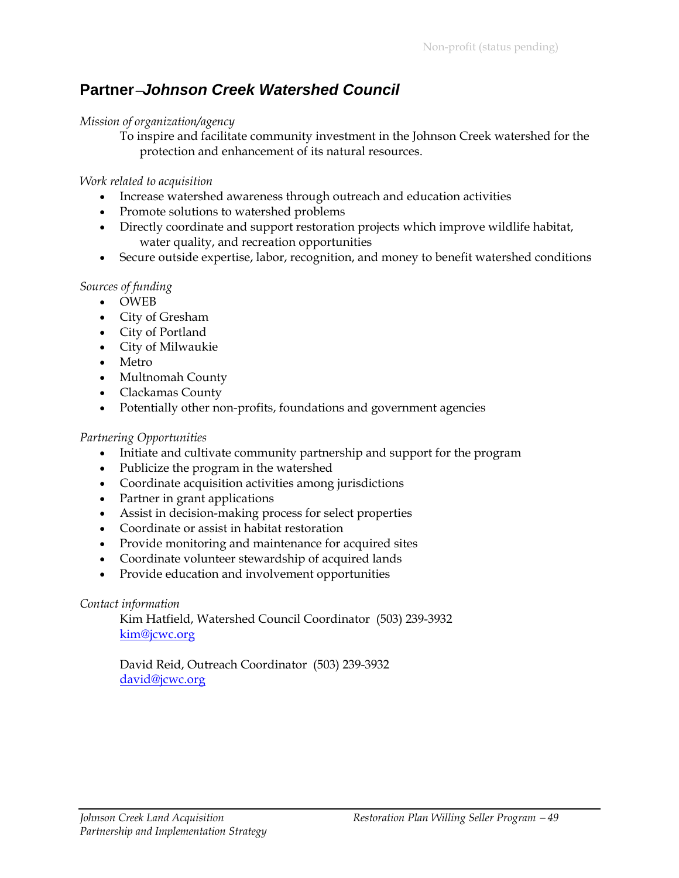### **Partner**−*Johnson Creek Watershed Council*

#### *Mission of organization/agency*

To inspire and facilitate community investment in the Johnson Creek watershed for the protection and enhancement of its natural resources.

#### *Work related to acquisition*

- Increase watershed awareness through outreach and education activities
- Promote solutions to watershed problems
- Directly coordinate and support restoration projects which improve wildlife habitat, water quality, and recreation opportunities
- Secure outside expertise, labor, recognition, and money to benefit watershed conditions

#### *Sources of funding*

- OWEB
- City of Gresham
- City of Portland
- City of Milwaukie
- Metro
- Multnomah County
- Clackamas County
- Potentially other non-profits, foundations and government agencies

#### *Partnering Opportunities*

- Initiate and cultivate community partnership and support for the program
- Publicize the program in the watershed
- Coordinate acquisition activities among jurisdictions
- Partner in grant applications
- Assist in decision-making process for select properties
- Coordinate or assist in habitat restoration
- Provide monitoring and maintenance for acquired sites
- Coordinate volunteer stewardship of acquired lands
- Provide education and involvement opportunities

#### *Contact information*

Kim Hatfield, Watershed Council Coordinator (503) 239-3932 [kim@jcwc.org](mailto:Kim@jcwc.org)

David Reid, Outreach Coordinator (503) 239-3932 [david@jcwc.org](mailto:david@jcwc.org)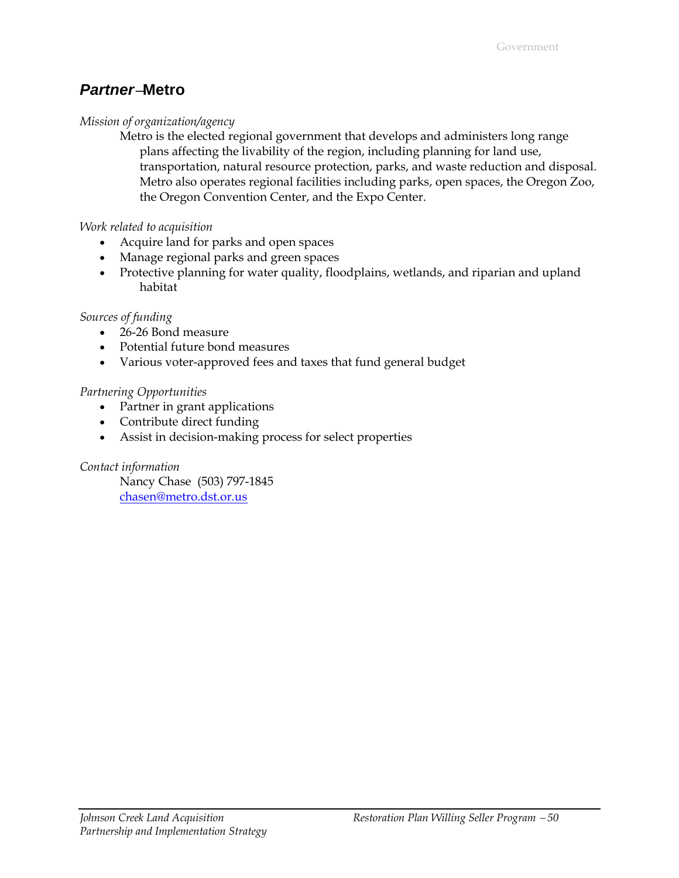### *Partner*−**Metro**

#### *Mission of organization/agency*

Metro is the elected regional government that develops and administers long range plans affecting the livability of the region, including planning for land use, transportation, natural resource protection, parks, and waste reduction and disposal. Metro also operates regional facilities including parks, open spaces, the Oregon Zoo, the Oregon Convention Center, and the Expo Center.

#### *Work related to acquisition*

- Acquire land for parks and open spaces
- Manage regional parks and green spaces
- Protective planning for water quality, floodplains, wetlands, and riparian and upland habitat

#### *Sources of funding*

- 26-26 Bond measure
- Potential future bond measures
- Various voter-approved fees and taxes that fund general budget

#### *Partnering Opportunities*

- Partner in grant applications
- Contribute direct funding
- Assist in decision-making process for select properties

#### *Contact information*

Nancy Chase (503) 797-1845 [chasen@metro.dst.or.us](mailto:chasen@metro.dst.or.us)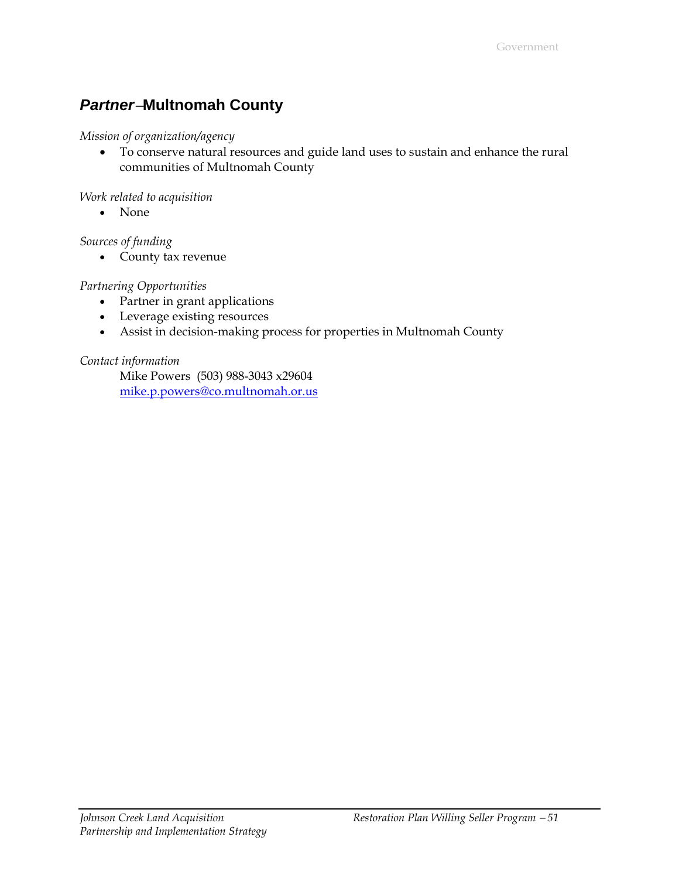# *Partner*−**Multnomah County**

#### *Mission of organization/agency*

• To conserve natural resources and guide land uses to sustain and enhance the rural communities of Multnomah County

#### *Work related to acquisition*

• None

#### *Sources of funding*

• County tax revenue

#### *Partnering Opportunities*

- Partner in grant applications
- Leverage existing resources
- Assist in decision-making process for properties in Multnomah County

#### *Contact information*

Mike Powers (503) 988-3043 x29604 [mike.p.powers@co.multnomah.or.us](mailto:Mike.p.powers@co.multnomah.or.us)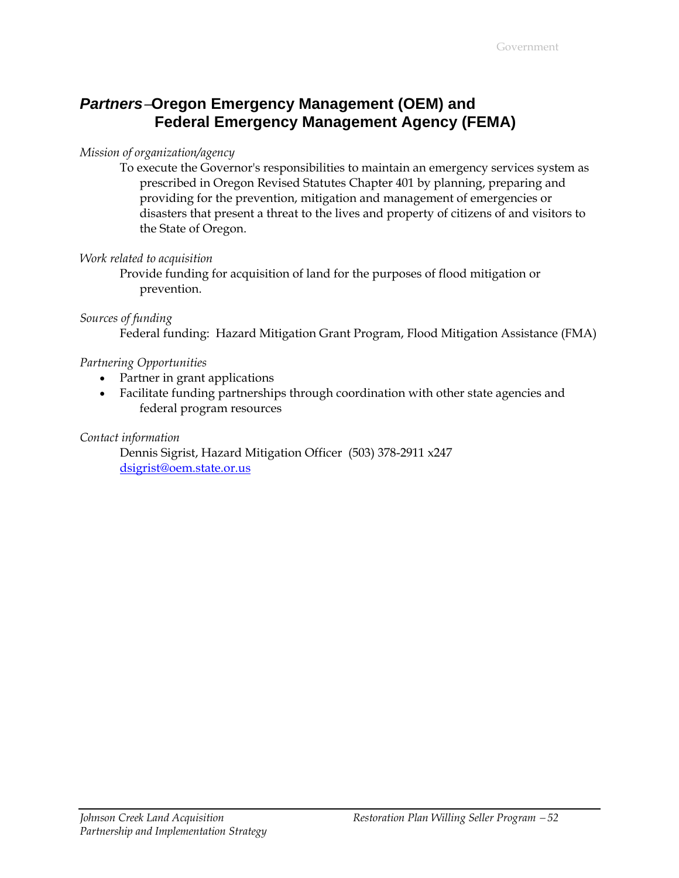### *Partners*−**Oregon Emergency Management (OEM) and Federal Emergency Management Agency (FEMA)**

#### *Mission of organization/agency*

To execute the Governor's responsibilities to maintain an emergency services system as prescribed in Oregon Revised Statutes Chapter 401 by planning, preparing and providing for the prevention, mitigation and management of emergencies or disasters that present a threat to the lives and property of citizens of and visitors to the State of Oregon.

#### *Work related to acquisition*

Provide funding for acquisition of land for the purposes of flood mitigation or prevention.

#### *Sources of funding*

Federal funding: Hazard Mitigation Grant Program, Flood Mitigation Assistance (FMA)

#### *Partnering Opportunities*

- Partner in grant applications
- Facilitate funding partnerships through coordination with other state agencies and federal program resources

*Contact information* 

Dennis Sigrist, Hazard Mitigation Officer (503) 378-2911 x247 [dsigrist@oem.state.or.us](mailto:patricia.m.obradovich@usace.army.mil)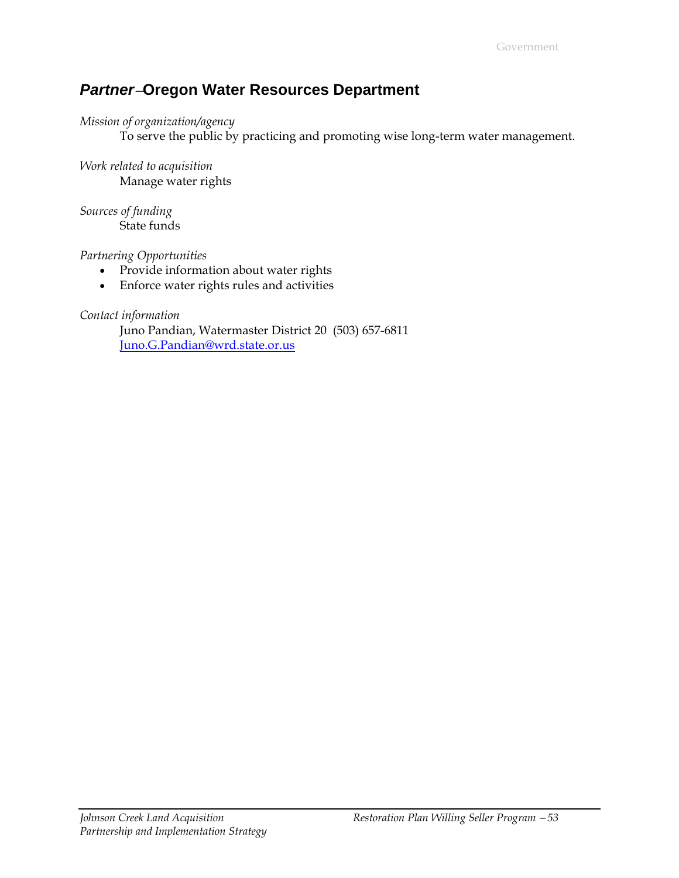### *Partner*−**Oregon Water Resources Department**

#### *Mission of organization/agency*

To serve the public by practicing and promoting wise long-term water management.

*Work related to acquisition* Manage water rights

*Sources of funding* State funds

*Partnering Opportunities*

- Provide information about water rights
- Enforce water rights rules and activities

*Contact information* 

Juno Pandian, Watermaster District 20 (503) 657-6811 [Juno.G.Pandian@wrd.state.or.us](mailto:Juno.G.Pandian@wrd.state.or.us)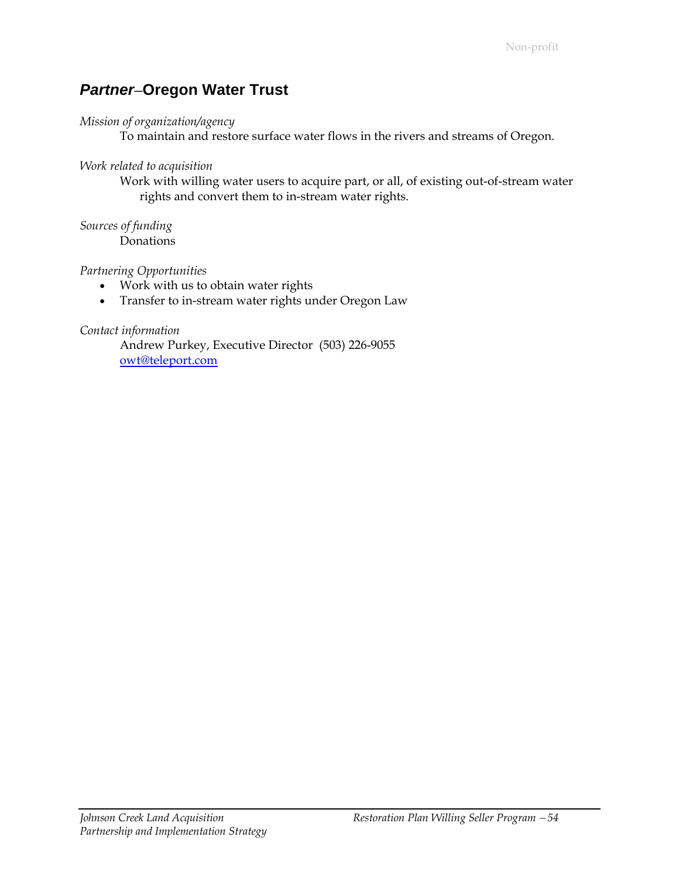### *Partner*−**Oregon Water Trust**

#### *Mission of organization/agency*

To maintain and restore surface water flows in the rivers and streams of Oregon.

#### *Work related to acquisition*

Work with willing water users to acquire part, or all, of existing out-of-stream water rights and convert them to in-stream water rights.

#### *Sources of funding*

Donations

#### *Partnering Opportunities*

- Work with us to obtain water rights
- Transfer to in-stream water rights under Oregon Law

#### *Contact information*

Andrew Purkey, Executive Director (503) 226-9055 [owt@teleport.com](mailto:owt@teleport.com)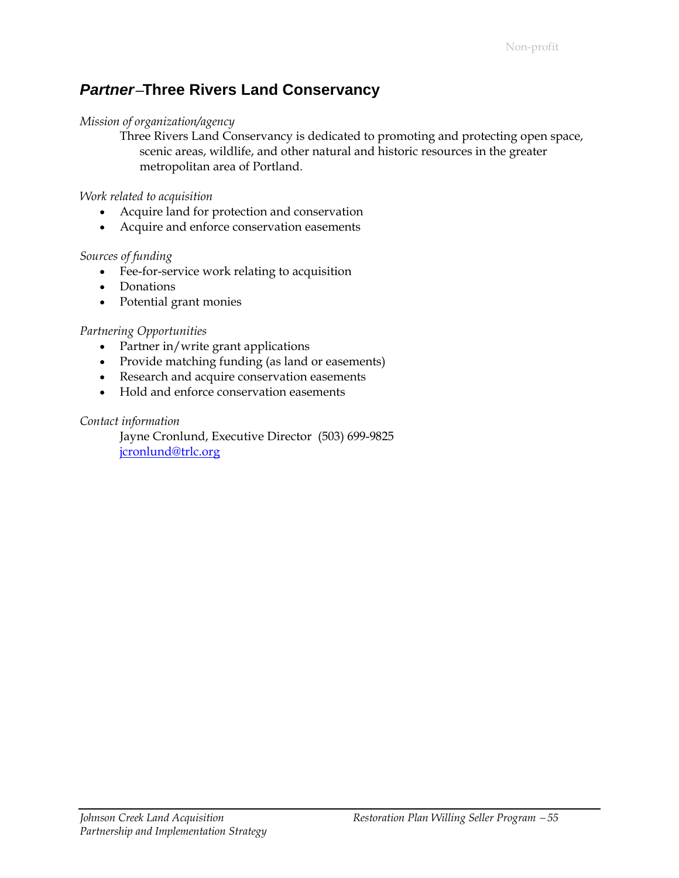### *Partner*−**Three Rivers Land Conservancy**

#### *Mission of organization/agency*

Three Rivers Land Conservancy is dedicated to promoting and protecting open space, scenic areas, wildlife, and other natural and historic resources in the greater metropolitan area of Portland.

#### *Work related to acquisition*

- Acquire land for protection and conservation
- Acquire and enforce conservation easements

#### *Sources of funding*

- Fee-for-service work relating to acquisition
- Donations
- Potential grant monies

#### *Partnering Opportunities*

- Partner in/write grant applications
- Provide matching funding (as land or easements)
- Research and acquire conservation easements
- Hold and enforce conservation easements

#### *Contact information*

Jayne Cronlund, Executive Director (503) 699-9825 [jcronlund@trlc.org](mailto:jcronlund@trlc.org)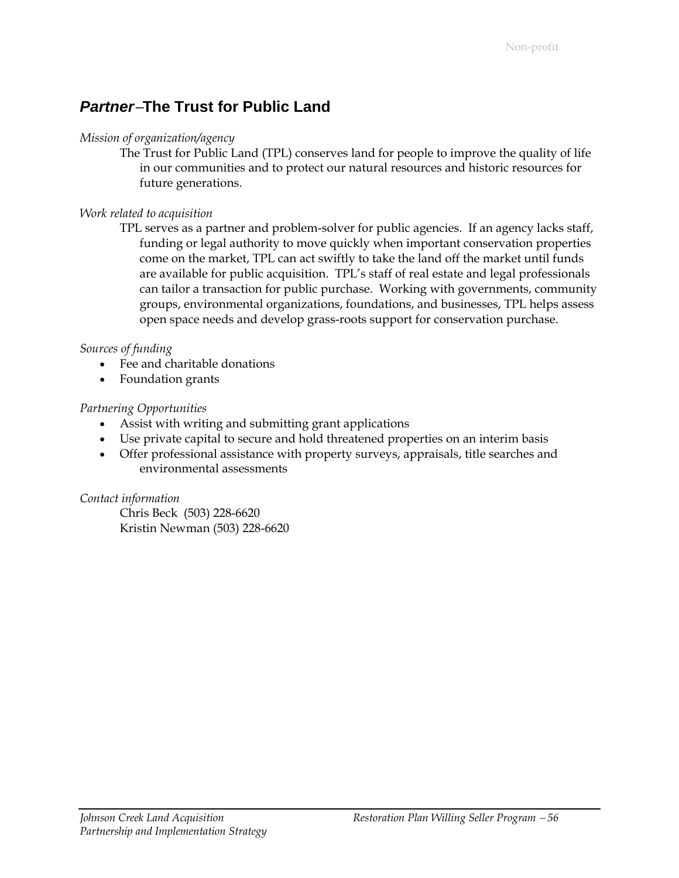### *Partner*−**The Trust for Public Land**

#### *Mission of organization/agency*

The Trust for Public Land (TPL) conserves land for people to improve the quality of life in our communities and to protect our natural resources and historic resources for future generations.

#### *Work related to acquisition*

TPL serves as a partner and problem-solver for public agencies. If an agency lacks staff, funding or legal authority to move quickly when important conservation properties come on the market, TPL can act swiftly to take the land off the market until funds are available for public acquisition. TPL's staff of real estate and legal professionals can tailor a transaction for public purchase. Working with governments, community groups, environmental organizations, foundations, and businesses, TPL helps assess open space needs and develop grass-roots support for conservation purchase.

#### *Sources of funding*

- Fee and charitable donations
- Foundation grants

#### *Partnering Opportunities*

- Assist with writing and submitting grant applications
- Use private capital to secure and hold threatened properties on an interim basis
- Offer professional assistance with property surveys, appraisals, title searches and environmental assessments

#### *Contact information*

Chris Beck (503) 228-6620 Kristin Newman (503) 228-6620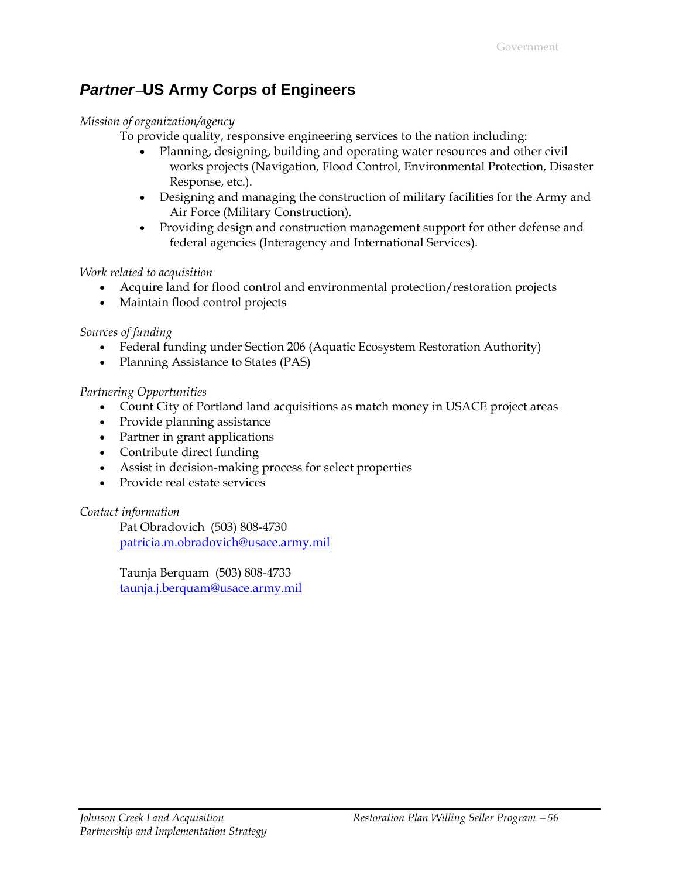### *Partner*−**US Army Corps of Engineers**

#### *Mission of organization/agency*

To provide quality, responsive engineering services to the nation including:

- Planning, designing, building and operating water resources and other civil works projects (Navigation, Flood Control, Environmental Protection, Disaster Response, etc.).
- Designing and managing the construction of military facilities for the Army and Air Force (Military Construction).
- Providing design and construction management support for other defense and federal agencies (Interagency and International Services).

#### *Work related to acquisition*

- Acquire land for flood control and environmental protection/restoration projects
- Maintain flood control projects

*Sources of funding*

- Federal funding under Section 206 (Aquatic Ecosystem Restoration Authority)
- Planning Assistance to States (PAS)

#### *Partnering Opportunities*

- Count City of Portland land acquisitions as match money in USACE project areas
- Provide planning assistance
- Partner in grant applications
- Contribute direct funding
- Assist in decision-making process for select properties
- Provide real estate services

#### *Contact information*

Pat Obradovich (503) 808-4730 [patricia.m.obradovich@usace.army.mil](mailto:patricia.m.obradovich@usace.army.mil)

Taunja Berquam (503) 808-4733 [taunja.j.berquam@usace.army.mil](mailto:Taunja.j.berquam@usace.army.mil)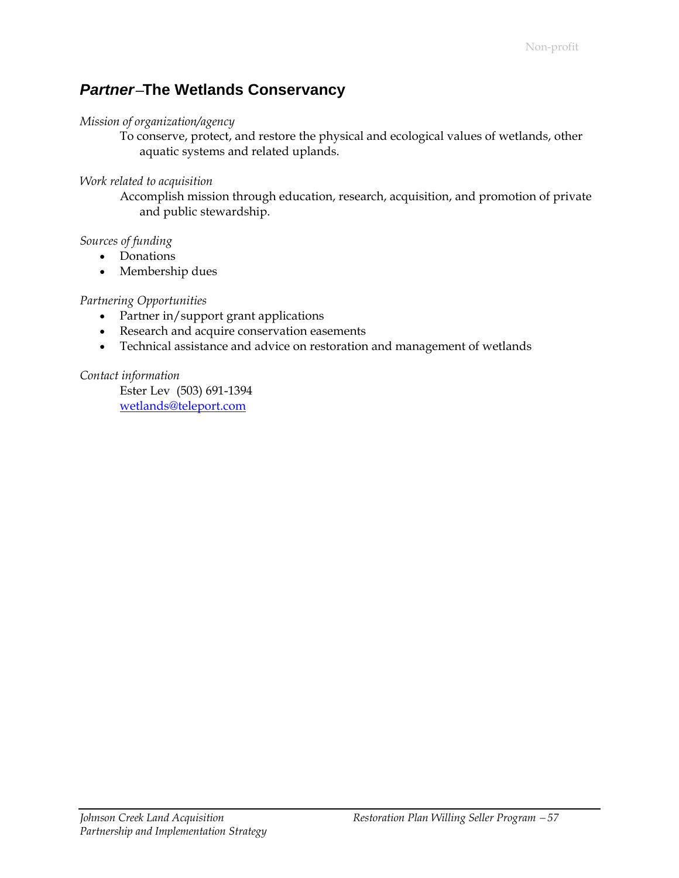### *Partner*−**The Wetlands Conservancy**

#### *Mission of organization/agency*

To conserve, protect, and restore the physical and ecological values of wetlands, other aquatic systems and related uplands.

#### *Work related to acquisition*

Accomplish mission through education, research, acquisition, and promotion of private and public stewardship.

#### *Sources of funding*

- Donations
- Membership dues

#### *Partnering Opportunities*

- Partner in/support grant applications
- Research and acquire conservation easements
- Technical assistance and advice on restoration and management of wetlands

#### *Contact information*

Ester Lev (503) 691-1394 [wetlands@teleport.com](mailto:Wetlands@teleport.com)